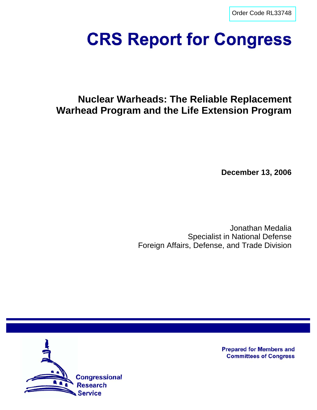[Order Code RL33748](http://www.fas.org/sgp/crs/nuke/index.html)

# **CRS Report for Congress**

# **Nuclear Warheads: The Reliable Replacement Warhead Program and the Life Extension Program**

**December 13, 2006**

Jonathan Medalia Specialist in National Defense Foreign Affairs, Defense, and Trade Division



**Prepared for Members and Committees of Congress**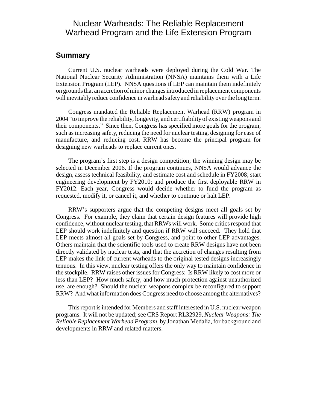# Nuclear Warheads: The Reliable Replacement Warhead Program and the Life Extension Program

# **Summary**

Current U.S. nuclear warheads were deployed during the Cold War. The National Nuclear Security Administration (NNSA) maintains them with a Life Extension Program (LEP). NNSA questions if LEP can maintain them indefinitely on grounds that an accretion of minor changes introduced in replacement components will inevitably reduce confidence in warhead safety and reliability over the long term.

Congress mandated the Reliable Replacement Warhead (RRW) program in 2004 "to improve the reliability, longevity, and certifiability of existing weapons and their components." Since then, Congress has specified more goals for the program, such as increasing safety, reducing the need for nuclear testing, designing for ease of manufacture, and reducing cost. RRW has become the principal program for designing new warheads to replace current ones.

The program's first step is a design competition; the winning design may be selected in December 2006. If the program continues, NNSA would advance the design, assess technical feasibility, and estimate cost and schedule in FY2008; start engineering development by FY2010; and produce the first deployable RRW in FY2012. Each year, Congress would decide whether to fund the program as requested, modify it, or cancel it, and whether to continue or halt LEP.

RRW's supporters argue that the competing designs meet all goals set by Congress. For example, they claim that certain design features will provide high confidence, without nuclear testing, that RRWs will work. Some critics respond that LEP should work indefinitely and question if RRW will succeed. They hold that LEP meets almost all goals set by Congress, and point to other LEP advantages. Others maintain that the scientific tools used to create RRW designs have not been directly validated by nuclear tests, and that the accretion of changes resulting from LEP makes the link of current warheads to the original tested designs increasingly tenuous. In this view, nuclear testing offers the only way to maintain confidence in the stockpile. RRW raises other issues for Congress: Is RRW likely to cost more or less than LEP? How much safety, and how much protection against unauthorized use, are enough? Should the nuclear weapons complex be reconfigured to support RRW? And what information does Congress need to choose among the alternatives?

This report is intended for Members and staff interested in U.S. nuclear weapon programs. It will not be updated; see CRS Report RL32929, *Nuclear Weapons: The Reliable Replacement Warhead Program,* by Jonathan Medalia, for background and developments in RRW and related matters.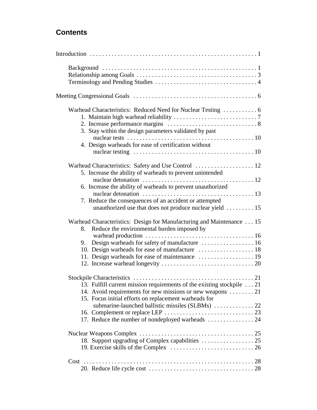# **Contents**

| 3. Stay within the design parameters validated by past                                                                                                                                                                                           |  |
|--------------------------------------------------------------------------------------------------------------------------------------------------------------------------------------------------------------------------------------------------|--|
| 4. Design warheads for ease of certification without                                                                                                                                                                                             |  |
| 5. Increase the ability of warheads to prevent unintended                                                                                                                                                                                        |  |
| 6. Increase the ability of warheads to prevent unauthorized<br>7. Reduce the consequences of an accident or attempted<br>unauthorized use that does not produce nuclear yield  15                                                                |  |
| Warhead Characteristics: Design for Manufacturing and Maintenance 15<br>Reduce the environmental burden imposed by<br>8.<br>9.<br>11. Design warheads for ease of maintenance  19                                                                |  |
| 13. Fulfill current mission requirements of the existing stockpile 21<br>14. Avoid requirements for new missions or new weapons 21<br>15. Focus initial efforts on replacement warheads for<br>17. Reduce the number of nondeployed warheads  24 |  |
|                                                                                                                                                                                                                                                  |  |
|                                                                                                                                                                                                                                                  |  |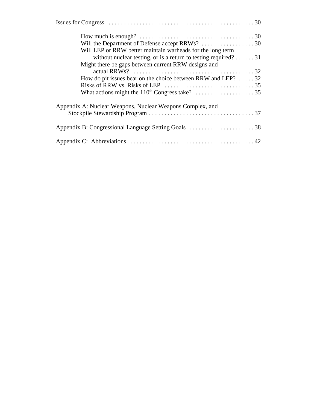| Will LEP or RRW better maintain warheads for the long term                                        |
|---------------------------------------------------------------------------------------------------|
| without nuclear testing, or is a return to testing required? 31                                   |
| Might there be gaps between current RRW designs and                                               |
|                                                                                                   |
| How do pit issues bear on the choice between RRW and LEP? $\dots$ 32                              |
| Risks of RRW vs. Risks of LEP $\ldots \ldots \ldots \ldots \ldots \ldots \ldots \ldots \ldots$ 35 |
|                                                                                                   |
| Appendix A: Nuclear Weapons, Nuclear Weapons Complex, and                                         |
|                                                                                                   |
|                                                                                                   |
|                                                                                                   |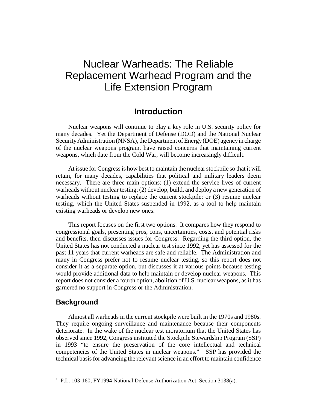# Nuclear Warheads: The Reliable Replacement Warhead Program and the Life Extension Program

# **Introduction**

Nuclear weapons will continue to play a key role in U.S. security policy for many decades. Yet the Department of Defense (DOD) and the National Nuclear Security Administration (NNSA), the Department of Energy (DOE) agency in charge of the nuclear weapons program, have raised concerns that maintaining current weapons, which date from the Cold War, will become increasingly difficult.

At issue for Congress is how best to maintain the nuclear stockpile so that it will retain, for many decades, capabilities that political and military leaders deem necessary. There are three main options: (1) extend the service lives of current warheads without nuclear testing; (2) develop, build, and deploy a new generation of warheads without testing to replace the current stockpile; or  $(3)$  resume nuclear testing, which the United States suspended in 1992, as a tool to help maintain existing warheads or develop new ones.

This report focuses on the first two options. It compares how they respond to congressional goals, presenting pros, cons, uncertainties, costs, and potential risks and benefits, then discusses issues for Congress. Regarding the third option, the United States has not conducted a nuclear test since 1992, yet has assessed for the past 11 years that current warheads are safe and reliable. The Administration and many in Congress prefer not to resume nuclear testing, so this report does not consider it as a separate option, but discusses it at various points because testing would provide additional data to help maintain or develop nuclear weapons. This report does not consider a fourth option, abolition of U.S. nuclear weapons, as it has garnered no support in Congress or the Administration.

# **Background**

Almost all warheads in the current stockpile were built in the 1970s and 1980s. They require ongoing surveillance and maintenance because their components deteriorate. In the wake of the nuclear test moratorium that the United States has observed since 1992, Congress instituted the Stockpile Stewardship Program (SSP) in 1993 "to ensure the preservation of the core intellectual and technical competencies of the United States in nuclear weapons."1 SSP has provided the technical basis for advancing the relevant science in an effort to maintain confidence

<sup>&</sup>lt;sup>1</sup> P.L. 103-160, FY1994 National Defense Authorization Act, Section 3138(a).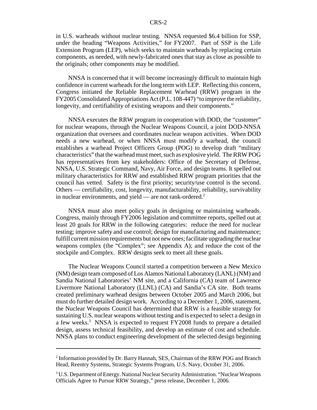in U.S. warheads without nuclear testing. NNSA requested \$6.4 billion for SSP, under the heading "Weapons Activities," for FY2007. Part of SSP is the Life Extension Program (LEP), which seeks to maintain warheads by replacing certain components, as needed, with newly-fabricated ones that stay as close as possible to the originals; other components may be modified.

NNSA is concerned that it will become increasingly difficult to maintain high confidence in current warheads for the long term with LEP. Reflecting this concern, Congress initiated the Reliable Replacement Warhead (RRW) program in the FY2005 Consolidated Appropriations Act (P.L. 108-447) "to improve the reliability, longevity, and certifiability of existing weapons and their components."

NNSA executes the RRW program in cooperation with DOD, the "customer" for nuclear weapons, through the Nuclear Weapons Council, a joint DOD-NNSA organization that oversees and coordinates nuclear weapon activities. When DOD needs a new warhead, or when NNSA must modify a warhead, the council establishes a warhead Project Officers Group (POG) to develop draft "military characteristics" that the warhead must meet, such as explosive yield. The RRW POG has representatives from key stakeholders: Office of the Secretary of Defense, NNSA, U.S. Strategic Command, Navy, Air Force, and design teams. It spelled out military characteristics for RRW and established RRW program priorities that the council has vetted. Safety is the first priority; security/use control is the second. Others — certifiability, cost, longevity, manufacturability, reliability, survivability in nuclear environments, and yield — are not rank-ordered. $2^2$ 

NNSA must also meet policy goals in designing or maintaining warheads. Congress, mainly through FY2006 legislation and committee reports, spelled out at least 20 goals for RRW in the following categories: reduce the need for nuclear testing; improve safety and use control; design for manufacturing and maintenance; fulfill current mission requirements but not new ones; facilitate upgrading the nuclear weapons complex (the "Complex"; see Appendix A); and reduce the cost of the stockpile and Complex. RRW designs seek to meet all these goals.

The Nuclear Weapons Council started a competition between a New Mexico (NM) design team composed of Los Alamos National Laboratory (LANL) (NM) and Sandia National Laboratories' NM site, and a California (CA) team of Lawrence Livermore National Laboratory (LLNL) (CA) and Sandia's CA site. Both teams created preliminary warhead designs between October 2005 and March 2006, but must do further detailed design work. According to a December 1, 2006, statement, the Nuclear Weapons Council has determined that RRW is a feasible strategy for sustaining U.S. nuclear weapons without testing and is expected to select a design in a few weeks.<sup>3</sup> NNSA is expected to request FY2008 funds to prepare a detailed design, assess technical feasibility, and develop an estimate of cost and schedule. NNSA plans to conduct engineering development of the selected design beginning

<sup>&</sup>lt;sup>2</sup> Information provided by Dr. Barry Hannah, SES, Chairman of the RRW POG and Branch Head, Reentry Systems, Strategic Systems Program, U.S. Navy, October 31, 2006.

<sup>&</sup>lt;sup>3</sup> U.S. Department of Energy. National Nuclear Security Administration. "Nuclear Weapons Officials Agree to Pursue RRW Strategy," press release, December 1, 2006.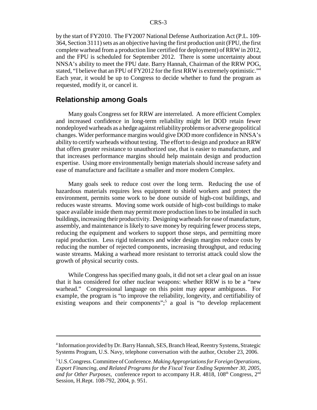by the start of FY2010. The FY2007 National Defense Authorization Act (P.L. 109- 364, Section 3111) sets as an objective having the first production unit (FPU, the first complete warhead from a production line certified for deployment) of RRW in 2012, and the FPU is scheduled for September 2012. There is some uncertainty about NNSA's ability to meet the FPU date. Barry Hannah, Chairman of the RRW POG, stated, "I believe that an FPU of FY2012 for the first RRW is extremely optimistic."4 Each year, it would be up to Congress to decide whether to fund the program as requested, modify it, or cancel it.

## **Relationship among Goals**

Many goals Congress set for RRW are interrelated. A more efficient Complex and increased confidence in long-term reliability might let DOD retain fewer nondeployed warheads as a hedge against reliability problems or adverse geopolitical changes. Wider performance margins would give DOD more confidence in NNSA's ability to certify warheads without testing. The effort to design and produce an RRW that offers greater resistance to unauthorized use, that is easier to manufacture, and that increases performance margins should help maintain design and production expertise. Using more environmentally benign materials should increase safety and ease of manufacture and facilitate a smaller and more modern Complex.

Many goals seek to reduce cost over the long term. Reducing the use of hazardous materials requires less equipment to shield workers and protect the environment, permits some work to be done outside of high-cost buildings, and reduces waste streams. Moving some work outside of high-cost buildings to make space available inside them may permit more production lines to be installed in such buildings, increasing their productivity. Designing warheads for ease of manufacture, assembly, and maintenance is likely to save money by requiring fewer process steps, reducing the equipment and workers to support those steps, and permitting more rapid production. Less rigid tolerances and wider design margins reduce costs by reducing the number of rejected components, increasing throughput, and reducing waste streams. Making a warhead more resistant to terrorist attack could slow the growth of physical security costs.

While Congress has specified many goals, it did not set a clear goal on an issue that it has considered for other nuclear weapons: whether RRW is to be a "new warhead." Congressional language on this point may appear ambiguous. For example, the program is "to improve the reliability, longevity, and certifiability of existing weapons and their components";<sup>5</sup> a goal is "to develop replacement

<sup>&</sup>lt;sup>4</sup> Information provided by Dr. Barry Hannah, SES, Branch Head, Reentry Systems, Strategic Systems Program, U.S. Navy, telephone conversation with the author, October 23, 2006.

<sup>5</sup> U.S. Congress. Committee of Conference. *Making Appropriations for Foreign Operations, Export Financing, and Related Programs for the Fiscal Year Ending September 30, 2005, and for Other Purposes, conference report to accompany H.R. 4818, 108*<sup>th</sup> Congress,  $2<sup>nd</sup>$ Session, H.Rept. 108-792, 2004, p. 951.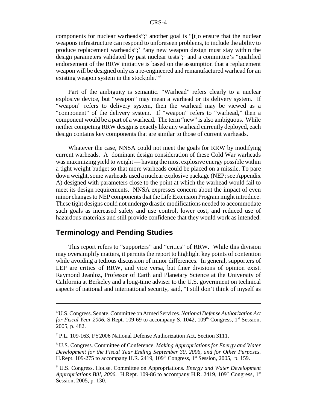components for nuclear warheads";<sup>6</sup> another goal is "[t]o ensure that the nuclear weapons infrastructure can respond to unforeseen problems, to include the ability to produce replacement warheads";<sup>7</sup> "any new weapon design must stay within the design parameters validated by past nuclear tests";<sup>8</sup> and a committee's "qualified endorsement of the RRW initiative is based on the assumption that a replacement weapon will be designed only as a re-engineered and remanufactured warhead for an existing weapon system in the stockpile."<sup>9</sup>

Part of the ambiguity is semantic. "Warhead" refers clearly to a nuclear explosive device, but "weapon" may mean a warhead or its delivery system. If "weapon" refers to delivery system, then the warhead may be viewed as a "component" of the delivery system. If "weapon" refers to "warhead," then a component would be a part of a warhead. The term "new" is also ambiguous. While neither competing RRW design is exactly like any warhead currently deployed, each design contains key components that are similar to those of current warheads.

Whatever the case, NNSA could not meet the goals for RRW by modifying current warheads. A dominant design consideration of these Cold War warheads was maximizing yield to weight — having the most explosive energy possible within a tight weight budget so that more warheads could be placed on a missile. To pare down weight, some warheads used a nuclear explosive package (NEP; see Appendix A) designed with parameters close to the point at which the warhead would fail to meet its design requirements. NNSA expresses concern about the impact of even minor changes to NEP components that the Life Extension Program might introduce. These tight designs could not undergo drastic modifications needed to accommodate such goals as increased safety and use control, lower cost, and reduced use of hazardous materials and still provide confidence that they would work as intended.

# **Terminology and Pending Studies**

This report refers to "supporters" and "critics" of RRW. While this division may oversimplify matters, it permits the report to highlight key points of contention while avoiding a tedious discussion of minor differences. In general, supporters of LEP are critics of RRW, and vice versa, but finer divisions of opinion exist. Raymond Jeanloz, Professor of Earth and Planetary Science at the University of California at Berkeley and a long-time adviser to the U.S. government on technical aspects of national and international security, said, "I still don't think of myself as

<sup>6</sup> U.S. Congress. Senate. Committee on Armed Services. *National Defense Authorization Act for Fiscal Year 2006.* S.Rept. 109-69 to accompany S. 1042,  $109<sup>th</sup>$  Congress,  $1<sup>st</sup>$  Session, 2005, p. 482.

<sup>&</sup>lt;sup>7</sup> P.L. 109-163, FY2006 National Defense Authorization Act, Section 3111.

<sup>8</sup> U.S. Congress. Committee of Conference. *Making Appropriations for Energy and Water Development for the Fiscal Year Ending September 30, 2006, and for Other Purposes.* H.Rept. 109-275 to accompany H.R. 2419, 109<sup>th</sup> Congress, 1<sup>st</sup> Session, 2005, p. 159.

<sup>9</sup> U.S. Congress. House. Committee on Appropriations. *Energy and Water Development Appropriations Bill, 2006.* H.Rept. 109-86 to accompany H.R. 2419, 109<sup>th</sup> Congress, 1<sup>st</sup> Session, 2005, p. 130.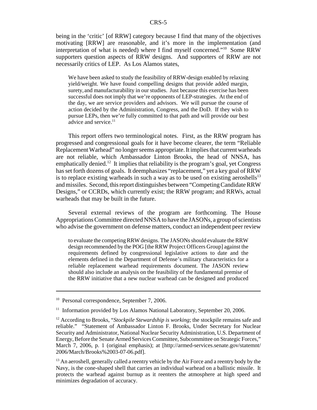being in the 'critic' [of RRW] category because I find that many of the objectives motivating [RRW] are reasonable, and it's more in the implementation (and interpretation of what is needed) where I find myself concerned."10 Some RRW supporters question aspects of RRW designs. And supporters of RRW are not necessarily critics of LEP. As Los Alamos states,

We have been asked to study the feasibility of RRW-design enabled by relaxing yield/weight. We have found compelling designs that provide added margin, surety,and manufacturability in our studies. Just because this exercise has been successful does not imply that we're opponents of LEP-strategies. At the end of the day, we are service providers and advisors. We will pursue the course of action decided by the Administration, Congress, and the DoD. If they wish to pursue LEPs, then we're fully committed to that path and will provide our best advice and service. $11$ 

This report offers two terminological notes. First, as the RRW program has progressed and congressional goals for it have become clearer, the term "Reliable Replacement Warhead" no longer seems appropriate. It implies that current warheads are not reliable, which Ambassador Linton Brooks, the head of NNSA, has emphatically denied.<sup>12</sup> It implies that reliability is the program's goal, yet Congress has set forth dozens of goals. It deemphasizes "replacement," yet a key goal of RRW is to replace existing warheads in such a way as to be used on existing aeroshells<sup>13</sup> and missiles. Second, this report distinguishes between "Competing Candidate RRW Designs," or CCRDs, which currently exist; the RRW program; and RRWs, actual warheads that may be built in the future.

Several external reviews of the program are forthcoming. The House Appropriations Committee directed NNSA to have the JASONs, a group of scientists who advise the government on defense matters, conduct an independent peer review

to evaluate the competing RRW designs. The JASONs should evaluate the RRW design recommended by the POG [the RRW Project Officers Group] against the requirements defined by congressional legislative actions to date and the elements defined in the Department of Defense's military characteristics for a reliable replacement warhead requirements document. The JASON review should also include an analysis on the feasibility of the fundamental premise of the RRW initiative that a new nuclear warhead can be designed and produced

<sup>&</sup>lt;sup>10</sup> Personal correspondence, September 7, 2006.

<sup>&</sup>lt;sup>11</sup> Information provided by Los Alamos National Laboratory, September 20, 2006.

<sup>&</sup>lt;sup>12</sup> According to Brooks, "*Stockpile Stewardship is working*; the stockpile remains safe and reliable." "Statement of Ambassador Linton F. Brooks, Under Secretary for Nuclear Security and Administrator, National Nuclear Security Administration, U.S. Department of Energy, Before the Senate Armed Services Committee, Subcommittee on Strategic Forces," March 7, 2006, p. 1 (original emphasis); at [http://armed-services.senate.gov/statemnt/ 2006/March/Brooks%2003-07-06.pdf].

<sup>&</sup>lt;sup>13</sup> An aeroshell, generally called a reentry vehicle by the Air Force and a reentry body by the Navy, is the cone-shaped shell that carries an individual warhead on a ballistic missile. It protects the warhead against burnup as it reenters the atmosphere at high speed and minimizes degradation of accuracy.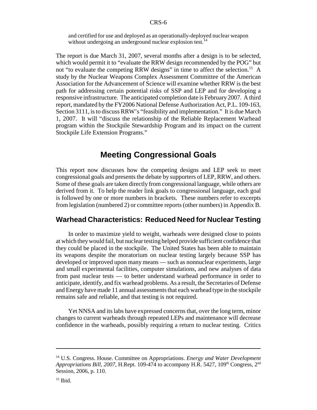and certified for use and deployed as an operationally-deployed nuclear weapon without undergoing an underground nuclear explosion test.<sup>14</sup>

The report is due March 31, 2007, several months after a design is to be selected, which would permit it to "evaluate the RRW design recommended by the POG" but not "to evaluate the competing RRW designs" in time to affect the selection.<sup>15</sup> A study by the Nuclear Weapons Complex Assessment Committee of the American Association for the Advancement of Science will examine whether RRW is the best path for addressing certain potential risks of SSP and LEP and for developing a responsive infrastructure. The anticipated completion date is February 2007. A third report, mandated by the FY2006 National Defense Authorization Act, P.L. 109-163, Section 3111, is to discuss RRW's "feasibility and implementation." It is due March 1, 2007. It will "discuss the relationship of the Reliable Replacement Warhead program within the Stockpile Stewardship Program and its impact on the current Stockpile Life Extension Programs."

# **Meeting Congressional Goals**

This report now discusses how the competing designs and LEP seek to meet congressional goals and presents the debate by supporters of LEP, RRW, and others. Some of these goals are taken directly from congressional language, while others are derived from it. To help the reader link goals to congressional language, each goal is followed by one or more numbers in brackets. These numbers refer to excerpts from legislation (numbered 2) or committee reports (other numbers) in Appendix B.

# **Warhead Characteristics: Reduced Need for Nuclear Testing**

In order to maximize yield to weight, warheads were designed close to points at which they would fail, but nuclear testing helped provide sufficient confidence that they could be placed in the stockpile. The United States has been able to maintain its weapons despite the moratorium on nuclear testing largely because SSP has developed or improved upon many means — such as nonnuclear experiments, large and small experimental facilities, computer simulations, and new analyses of data from past nuclear tests — to better understand warhead performance in order to anticipate, identify, and fix warhead problems. As a result, the Secretaries of Defense and Energy have made 11 annual assessments that each warhead type in the stockpile remains safe and reliable, and that testing is not required.

Yet NNSA and its labs have expressed concerns that, over the long term, minor changes to current warheads through repeated LEPs and maintenance will decrease confidence in the warheads, possibly requiring a return to nuclear testing. Critics

<sup>14</sup> U.S. Congress. House. Committee on Appropriations. *Energy and Water Development Appropriations Bill, 2007, H.Rept. 109-474 to accompany H.R. 5427, 109<sup>th</sup> Congress, 2<sup>nd</sup>* Session, 2006, p. 110.

 $15$  Ibid.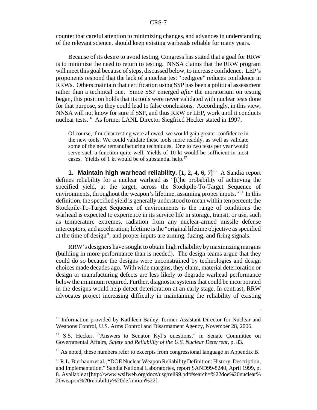counter that careful attention to minimizing changes, and advances in understanding of the relevant science, should keep existing warheads reliable for many years.

Because of its desire to avoid testing, Congress has stated that a goal for RRW is to minimize the need to return to testing. NNSA claims that the RRW program will meet this goal because of steps, discussed below, to increase confidence. LEP's proponents respond that the lack of a nuclear test "pedigree" reduces confidence in RRWs. Others maintain that certification using SSP has been a political assessment rather than a technical one. Since SSP emerged *after* the moratorium on testing began, this position holds that its tools were never validated with nuclear tests done for that purpose, so they could lead to false conclusions. Accordingly, in this view, NNSA will not know for sure if SSP, and thus RRW or LEP, work until it conducts nuclear tests.<sup>16</sup> As former LANL Director Siegfried Hecker stated in 1997,

Of course, if nuclear testing were allowed, we would gain greater confidence in the new tools. We could validate these tools more readily, as well as validate some of the new remanufacturing techniques. One to two tests per year would serve such a function quite well. Yields of 10 kt would be sufficient in most cases. Yields of 1 kt would be of substantial help.<sup>17</sup>

**1. Maintain high warhead reliability. [1, 2, 4, 6, 7]**18 A Sandia report defines reliability for a nuclear warhead as "[t]he probability of achieving the specified yield, at the target, across the Stockpile-To-Target Sequence of environments, throughout the weapon's lifetime, assuming proper inputs."<sup>19</sup> In this definition, the specified yield is generally understood to mean within ten percent; the Stockpile-To-Target Sequence of environments is the range of conditions the warhead is expected to experience in its service life in storage, transit, or use, such as temperature extremes, radiation from any nuclear-armed missile defense interceptors, and acceleration; lifetime is the "original lifetime objective as specified at the time of design"; and proper inputs are arming, fuzing, and firing signals.

RRW's designers have sought to obtain high reliability by maximizing margins (building in more performance than is needed). The design teams argue that they could do so because the designs were unconstrained by technologies and design choices made decades ago. With wide margins, they claim, material deterioration or design or manufacturing defects are less likely to degrade warhead performance below the minimum required. Further, diagnostic systems that could be incorporated in the designs would help detect deterioration at an early stage. In contrast, RRW advocates project increasing difficulty in maintaining the reliability of existing

<sup>&</sup>lt;sup>16</sup> Information provided by Kathleen Bailey, former Assistant Director for Nuclear and Weapons Control, U.S. Arms Control and Disarmament Agency, November 28, 2006.

<sup>&</sup>lt;sup>17</sup> S.S. Hecker, "Answers to Senator Kyl's questions," in Senate Committee on Governmental Affairs, *Safety and Reliability of the U.S. Nuclear Deterrent,* p. 83.

 $18$  As noted, these numbers refer to excerpts from congressional language in Appendix B.

<sup>&</sup>lt;sup>19</sup> R.L. Bierbaum et al., "DOE Nuclear Weapon Reliability Definition: History, Description, and Implementation," Sandia National Laboratories, report SAND99-8240, April 1999, p. 8. Available at [http://www.wslfweb.org/docs/usg/reli99.pdf#search=%22doe%20nuclear% 20weapon%20reliability%20definition%22].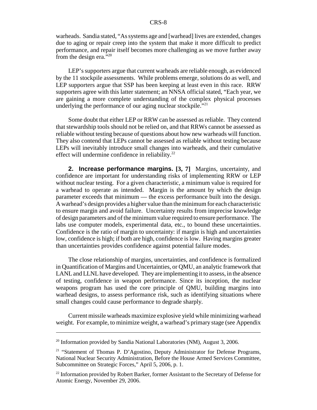warheads. Sandia stated, "As systems age and [warhead] lives are extended, changes due to aging or repair creep into the system that make it more difficult to predict performance, and repair itself becomes more challenging as we move further away from the design era."<sup>320</sup>

LEP's supporters argue that current warheads are reliable enough, as evidenced by the 11 stockpile assessments. While problems emerge, solutions do as well, and LEP supporters argue that SSP has been keeping at least even in this race. RRW supporters agree with this latter statement; an NNSA official stated, "Each year, we are gaining a more complete understanding of the complex physical processes underlying the performance of our aging nuclear stockpile. $121$ 

Some doubt that either LEP or RRW can be assessed as reliable. They contend that stewardship tools should not be relied on, and that RRWs cannot be assessed as reliable without testing because of questions about how new warheads will function. They also contend that LEPs cannot be assessed as reliable without testing because LEPs will inevitably introduce small changes into warheads, and their cumulative effect will undermine confidence in reliability. $22$ 

**2. Increase performance margins. [3, 7]** Margins, uncertainty, and confidence are important for understanding risks of implementing RRW or LEP without nuclear testing. For a given characteristic, a minimum value is required for a warhead to operate as intended. Margin is the amount by which the design parameter exceeds that minimum — the excess performance built into the design. A warhead's design provides a higher value than the minimum for each characteristic to ensure margin and avoid failure. Uncertainty results from imprecise knowledge of design parameters and of the minimum value required to ensure performance. The labs use computer models, experimental data, etc., to bound these uncertainties. Confidence is the ratio of margin to uncertainty: if margin is high and uncertainties low, confidence is high; if both are high, confidence is low. Having margins greater than uncertainties provides confidence against potential failure modes.

The close relationship of margins, uncertainties, and confidence is formalized in Quantification of Margins and Uncertainties, or QMU, an analytic framework that LANL and LLNL have developed. They are implementing it to assess, in the absence of testing, confidence in weapon performance. Since its inception, the nuclear weapons program has used the core principle of QMU, building margins into warhead designs, to assess performance risk, such as identifying situations where small changes could cause performance to degrade sharply.

Current missile warheads maximize explosive yield while minimizing warhead weight. For example, to minimize weight, a warhead's primary stage (see Appendix

<sup>&</sup>lt;sup>20</sup> Information provided by Sandia National Laboratories (NM), August 3, 2006.

<sup>&</sup>lt;sup>21</sup> "Statement of Thomas P. D'Agostino, Deputy Administrator for Defense Programs, National Nuclear Security Administration, Before the House Armed Services Committee, Subcommittee on Strategic Forces," April 5, 2006, p. 1.

<sup>&</sup>lt;sup>22</sup> Information provided by Robert Barker, former Assistant to the Secretary of Defense for Atomic Energy, November 29, 2006.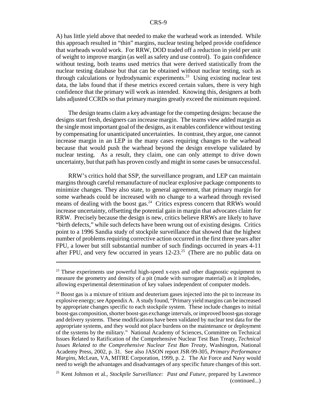A) has little yield above that needed to make the warhead work as intended. While this approach resulted in "thin" margins, nuclear testing helped provide confidence that warheads would work. For RRW, DOD traded off a reduction in yield per unit of weight to improve margin (as well as safety and use control). To gain confidence without testing, both teams used metrics that were derived statistically from the nuclear testing database but that can be obtained without nuclear testing, such as through calculations or hydrodynamic experiments.<sup>23</sup> Using existing nuclear test data, the labs found that if these metrics exceed certain values, there is very high confidence that the primary will work as intended. Knowing this, designers at both labs adjusted CCRDs so that primary margins greatly exceed the minimum required.

The design teams claim a key advantage for the competing designs: because the designs start fresh, designers can increase margin. The teams view added margin as the single most important goal of the designs, as it enables confidence without testing by compensating for unanticipated uncertainties. In contrast, they argue, one cannot increase margin in an LEP in the many cases requiring changes to the warhead because that would push the warhead beyond the design envelope validated by nuclear testing. As a result, they claim, one can only attempt to drive down uncertainty, but that path has proven costly and might in some cases be unsuccessful.

RRW's critics hold that SSP, the surveillance program, and LEP can maintain margins through careful remanufacture of nuclear explosive package components to minimize changes. They also state, to general agreement, that primary margin for some warheads could be increased with no change to a warhead through revised means of dealing with the boost gas.<sup>24</sup> Critics express concern that RRWs would increase uncertainty, offsetting the potential gain in margin that advocates claim for RRW. Precisely because the design is new, critics believe RRWs are likely to have "birth defects," while such defects have been wrung out of existing designs. Critics point to a 1996 Sandia study of stockpile surveillance that showed that the highest number of problems requiring corrective action occurred in the first three years after FPU, a lower but still substantial number of such findings occurred in years 4-11 after FPU, and very few occurred in years  $12{\text -}23$ .<sup>25</sup> (There are no public data on

 $2<sup>23</sup>$  These experiments use powerful high-speed x-rays and other diagnostic equipment to measure the geometry and density of a pit (made with surrogate material) as it implodes, allowing experimental determination of key values independent of computer models.

<sup>&</sup>lt;sup>24</sup> Boost gas is a mixture of tritium and deuterium gases injected into the pit to increase its explosive energy; see Appendix A. A study found, "Primary yield margins can be increased by appropriate changes specific to each stockpile system. These include changes to initial boost-gas composition, shorter boost-gas exchange intervals, or improved boost-gas storage and delivery systems. These modifications have been validated by nuclear test data for the appropriate systems, and they would not place burdens on the maintenance or deployment of the systems by the military." National Academy of Sciences, Committee on Technical Issues Related to Ratification of the Comprehensive Nuclear Test Ban Treaty, *Technical Issues Related to the Comprehensive Nuclear Test Ban Treaty,* Washington, National Academy Press, 2002, p. 31. See also JASON report JSR-99-305, *Primary Performance Margins,* McLean, VA, MITRE Corporation, 1999, p. 2. The Air Force and Navy would need to weigh the advantages and disadvantages of any specific future changes of this sort.

<sup>25</sup> Kent Johnson et al., *Stockpile Surveillance: Past and Future,* prepared by Lawrence (continued...)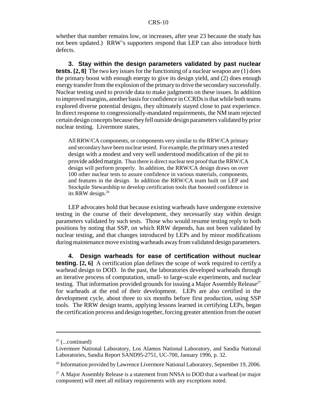whether that number remains low, or increases, after year 23 because the study has not been updated.) RRW's supporters respond that LEP can also introduce birth defects.

**3. Stay within the design parameters validated by past nuclear tests.** [2, 8] The two key issues for the functioning of a nuclear weapon are (1) does the primary boost with enough energy to give its design yield, and (2) does enough energy transfer from the explosion of the primary to drive the secondary successfully. Nuclear testing used to provide data to make judgments on these issues. In addition to improved margins, another basis for confidence in CCRDs is that while both teams explored diverse potential designs, they ultimately stayed close to past experience. In direct response to congressionally-mandated requirements, the NM team rejected certain design concepts because they fell outside design parameters validated by prior nuclear testing. Livermore states,

All RRW/CA components, or components very similar to the RRW/CA primary and secondary have been nuclear tested. For example, the primary uses a tested design with a modest and very well understood modification of the pit to provide added margin. Thus there is direct nuclear test proof that the RRW/CA design will perform properly. In addition, the RRW/CA design draws on over 100 other nuclear tests to assure confidence in various materials, components, and features in the design. In addition the RRW/CA team built on LEP and Stockpile Stewardship to develop certification tools that boosted confidence in its RRW design.<sup>26</sup>

LEP advocates hold that because existing warheads have undergone extensive testing in the course of their development, they necessarily stay within design parameters validated by such tests. Those who would resume testing reply to both positions by noting that SSP, on which RRW depends, has not been validated by nuclear testing, and that changes introduced by LEPs and by minor modifications during maintenance move existing warheads away from validated design parameters.

**4. Design warheads for ease of certification without nuclear testing.** [2, 6] A certification plan defines the scope of work required to certify a warhead design to DOD. In the past, the laboratories developed warheads through an iterative process of computation, small- to large-scale experiments, and nuclear testing. That information provided grounds for issuing a Major Assembly Release<sup>27</sup> for warheads at the end of their development. LEPs are also certified in the development cycle, about three to six months before first production, using SSP tools. The RRW design teams, applying lessons learned in certifying LEPs, began the certification process and design together, forcing greater attention from the outset

 $25$  (...continued)

Livermore National Laboratory, Los Alamos National Laboratory, and Sandia National Laboratories, Sandia Report SAND95-2751, UC-700, January 1996, p. 32.

<sup>&</sup>lt;sup>26</sup> Information provided by Lawrence Livermore National Laboratory, September 19, 2006.

 $27$  A Major Assembly Release is a statement from NNSA to DOD that a warhead (or major component) will meet all military requirements with any exceptions noted.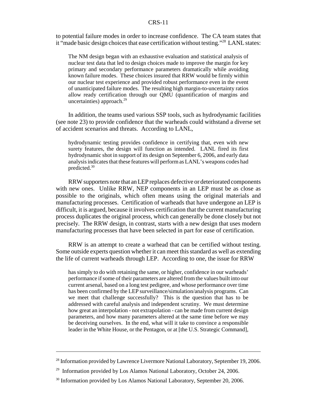to potential failure modes in order to increase confidence. The CA team states that it "made basic design choices that ease certification without testing."28 LANL states:

The NM design began with an exhaustive evaluation and statistical analysis of nuclear test data that led to design choices made to improve the margin for key primary and secondary performance parameters dramatically while avoiding known failure modes. These choices insured that RRW would be firmly within our nuclear test experience and provided robust performance even in the event of unanticipated failure modes. The resulting high margin-to-uncertainty ratios allow ready certification through our QMU (quantification of margins and uncertainties) approach.<sup>29</sup>

In addition, the teams used various SSP tools, such as hydrodynamic facilities (see note 23) to provide confidence that the warheads could withstand a diverse set of accident scenarios and threats. According to LANL,

hydrodynamic testing provides confidence in certifying that, even with new surety features, the design will function as intended. LANL fired its first hydrodynamic shot in support of its design on September 6, 2006, and early data analysis indicates that these features will perform as LANL's weapons codes had predicted.30

RRW supporters note that an LEP replaces defective or deteriorated components with new ones. Unlike RRW, NEP components in an LEP must be as close as possible to the originals, which often means using the original materials and manufacturing processes. Certification of warheads that have undergone an LEP is difficult, it is argued, because it involves certification that the current manufacturing process duplicates the original process, which can generally be done closely but not precisely. The RRW design, in contrast, starts with a new design that uses modern manufacturing processes that have been selected in part for ease of certification.

RRW is an attempt to create a warhead that can be certified without testing. Some outside experts question whether it can meet this standard as well as extending the life of current warheads through LEP. According to one, the issue for RRW

has simply to do with retaining the same, or higher, confidence in our warheads' performance if some of their parameters are altered from the values built into our current arsenal, based on a long test pedigree, and whose performance over time has been confirmed by the LEP surveillance/simulation/analysis programs. Can we meet that challenge successfully? This is the question that has to be addressed with careful analysis and independent scrutiny. We must determine how great an interpolation - not extrapolation - can be made from current design parameters, and how many parameters altered at the same time before we may be deceiving ourselves. In the end, what will it take to convince a responsible leader in the White House, or the Pentagon, or at [the U.S. Strategic Command],

<sup>&</sup>lt;sup>28</sup> Information provided by Lawrence Livermore National Laboratory, September 19, 2006.

 $^{29}$  Information provided by Los Alamos National Laboratory, October 24, 2006.

<sup>&</sup>lt;sup>30</sup> Information provided by Los Alamos National Laboratory, September 20, 2006.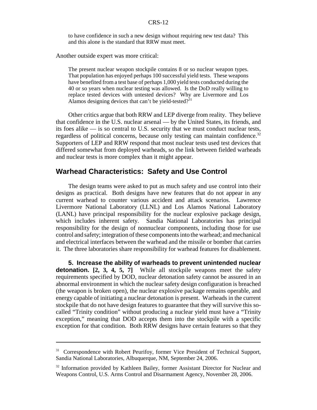to have confidence in such a new design without requiring new test data? This and this alone is the standard that RRW must meet.

Another outside expert was more critical:

The present nuclear weapon stockpile contains 8 or so nuclear weapon types. That population has enjoyed perhaps 100 successful yield tests. These weapons have benefited from a test base of perhaps 1,000 yield tests conducted during the 40 or so years when nuclear testing was allowed. Is the DoD really willing to replace tested devices with untested devices? Why are Livermore and Los Alamos designing devices that can't be yield-tested?<sup>31</sup>

Other critics argue that both RRW and LEP diverge from reality. They believe that confidence in the U.S. nuclear arsenal — by the United States, its friends, and its foes alike — is so central to U.S. security that we must conduct nuclear tests, regardless of political concerns, because only testing can maintain confidence.<sup>32</sup> Supporters of LEP and RRW respond that most nuclear tests used test devices that differed somewhat from deployed warheads, so the link between fielded warheads and nuclear tests is more complex than it might appear.

# **Warhead Characteristics: Safety and Use Control**

The design teams were asked to put as much safety and use control into their designs as practical. Both designs have new features that do not appear in any current warhead to counter various accident and attack scenarios. Lawrence Livermore National Laboratory (LLNL) and Los Alamos National Laboratory (LANL) have principal responsibility for the nuclear explosive package design, which includes inherent safety. Sandia National Laboratories has principal responsibility for the design of nonnuclear components, including those for use control and safety; integration of these components into the warhead; and mechanical and electrical interfaces between the warhead and the missile or bomber that carries it. The three laboratories share responsibility for warhead features for disablement.

**5. Increase the ability of warheads to prevent unintended nuclear detonation. [2, 3, 4, 5, 7]** While all stockpile weapons meet the safety requirements specified by DOD, nuclear detonation safety cannot be assured in an abnormal environment in which the nuclear safety design configuration is breached (the weapon is broken open), the nuclear explosive package remains operable, and energy capable of initiating a nuclear detonation is present. Warheads in the current stockpile that do not have design features to guarantee that they will survive this socalled "Trinity condition" without producing a nuclear yield must have a "Trinity exception," meaning that DOD accepts them into the stockpile with a specific exception for that condition. Both RRW designs have certain features so that they

<sup>&</sup>lt;sup>31</sup> Correspondence with Robert Peurifoy, former Vice President of Technical Support, Sandia National Laboratories, Albuquerque, NM, September 24, 2006.

<sup>&</sup>lt;sup>32</sup> Information provided by Kathleen Bailey, former Assistant Director for Nuclear and Weapons Control, U.S. Arms Control and Disarmament Agency, November 28, 2006.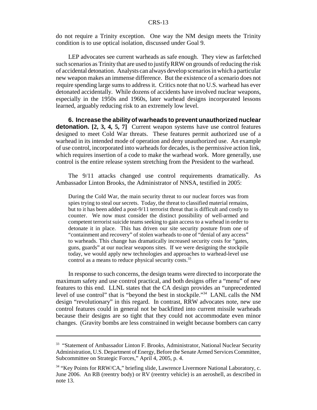do not require a Trinity exception. One way the NM design meets the Trinity condition is to use optical isolation, discussed under Goal 9.

LEP advocates see current warheads as safe enough. They view as farfetched such scenarios as Trinity that are used to justify RRW on grounds of reducing the risk of accidental detonation. Analysts can always develop scenarios in which a particular new weapon makes an immense difference. But the existence of a scenario does not require spending large sums to address it. Critics note that no U.S. warhead has ever detonated accidentally. While dozens of accidents have involved nuclear weapons, especially in the 1950s and 1960s, later warhead designs incorporated lessons learned, arguably reducing risk to an extremely low level.

**6. Increase the ability of warheads to prevent unauthorized nuclear detonation. [2, 3, 4, 5, 7]** Current weapon systems have use control features designed to meet Cold War threats. These features permit authorized use of a warhead in its intended mode of operation and deny unauthorized use. An example of use control, incorporated into warheads for decades, is the permissive action link, which requires insertion of a code to make the warhead work. More generally, use control is the entire release system stretching from the President to the warhead.

The 9/11 attacks changed use control requirements dramatically. As Ambassador Linton Brooks, the Administrator of NNSA, testified in 2005:

During the Cold War, the main security threat to our nuclear forces was from spies trying to steal our secrets. Today, the threat to classified material remains, but to it has been added a post-9/11 terrorist threat that is difficult and costly to counter. We now must consider the distinct possibility of well-armed and competent terrorist suicide teams seeking to gain access to a warhead in order to detonate it in place. This has driven our site security posture from one of "containment and recovery" of stolen warheads to one of "denial of any access" to warheads. This change has dramatically increased security costs for "gates, guns, guards" at our nuclear weapons sites. If we were designing the stockpile today, we would apply new technologies and approaches to warhead-level use control as a means to reduce physical security costs.<sup>33</sup>

In response to such concerns, the design teams were directed to incorporate the maximum safety and use control practical, and both designs offer a "menu" of new features to this end. LLNL states that the CA design provides an "unprecedented level of use control" that is "beyond the best in stockpile."34 LANL calls the NM design "revolutionary" in this regard. In contrast, RRW advocates note, new use control features could in general not be backfitted into current missile warheads because their designs are so tight that they could not accommodate even minor changes. (Gravity bombs are less constrained in weight because bombers can carry

<sup>&</sup>lt;sup>33</sup> "Statement of Ambassador Linton F. Brooks, Administrator, National Nuclear Security Administration, U.S. Department of Energy, Before the Senate Armed Services Committee, Subcommittee on Strategic Forces," April 4, 2005, p. 4.

<sup>&</sup>lt;sup>34</sup> "Key Points for RRW/CA," briefing slide, Lawrence Livermore National Laboratory, c. June 2006. An RB (reentry body) or RV (reentry vehicle) is an aeroshell, as described in note 13.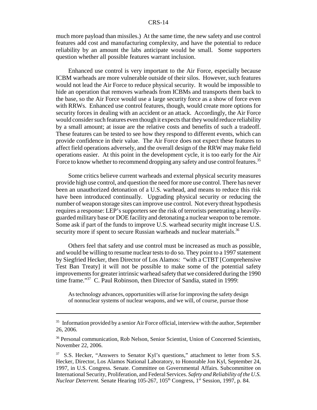much more payload than missiles.) At the same time, the new safety and use control features add cost and manufacturing complexity, and have the potential to reduce reliability by an amount the labs anticipate would be small. Some supporters question whether all possible features warrant inclusion.

Enhanced use control is very important to the Air Force, especially because ICBM warheads are more vulnerable outside of their silos. However, such features would not lead the Air Force to reduce physical security. It would be impossible to hide an operation that removes warheads from ICBMs and transports them back to the base, so the Air Force would use a large security force as a show of force even with RRWs. Enhanced use control features, though, would create more options for security forces in dealing with an accident or an attack. Accordingly, the Air Force would consider such features even though it expects that they would reduce reliability by a small amount; at issue are the relative costs and benefits of such a tradeoff. These features can be tested to see how they respond to different events, which can provide confidence in their value. The Air Force does not expect these features to affect field operations adversely, and the overall design of the RRW may make field operations easier. At this point in the development cycle, it is too early for the Air Force to know whether to recommend dropping any safety and use control features.<sup>35</sup>

Some critics believe current warheads and external physical security measures provide high use control, and question the need for more use control. There has never been an unauthorized detonation of a U.S. warhead, and means to reduce this risk have been introduced continually. Upgrading physical security or reducing the number of weapon storage sites can improve use control. Not every threat hypothesis requires a response: LEP's supporters see the risk of terrorists penetrating a heavilyguarded military base or DOE facility and detonating a nuclear weapon to be remote. Some ask if part of the funds to improve U.S. warhead security might increase U.S. security more if spent to secure Russian warheads and nuclear materials.<sup>36</sup>

Others feel that safety and use control must be increased as much as possible, and would be willing to resume nuclear tests to do so. They point to a 1997 statement by Siegfried Hecker, then Director of Los Alamos: "with a CTBT [Comprehensive Test Ban Treaty] it will not be possible to make some of the potential safety improvements for greater intrinsic warhead safety that we considered during the 1990 time frame."<sup>37</sup> C. Paul Robinson, then Director of Sandia, stated in 1999:

As technology advances, opportunities will arise for improving the safety design of nonnuclear systems of nuclear weapons, and we will, of course, pursue those

 $35$  Information provided by a senior Air Force official, interview with the author, September 26, 2006.

<sup>&</sup>lt;sup>36</sup> Personal communication, Rob Nelson, Senior Scientist, Union of Concerned Scientists, November 22, 2006.

<sup>37</sup> S.S. Hecker, "Answers to Senator Kyl's questions," attachment to letter from S.S. Hecker, Director, Los Alamos National Laboratory, to Honorable Jon Kyl, September 24, 1997, in U.S. Congress. Senate. Committee on Governmental Affairs. Subcommittee on International Security, Proliferation, and Federal Services. *Safety and Reliability of the U.S. Nuclear Deterrent.* Senate Hearing 105-267, 105<sup>th</sup> Congress, 1<sup>st</sup> Session, 1997, p. 84.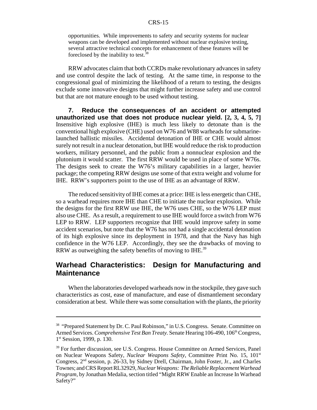opportunities. While improvements to safety and security systems for nuclear weapons can be developed and implemented without nuclear explosive testing, several attractive technical concepts for enhancement of these features will be foreclosed by the inability to test.38

RRW advocates claim that both CCRDs make revolutionary advances in safety and use control despite the lack of testing. At the same time, in response to the congressional goal of minimizing the likelihood of a return to testing, the designs exclude some innovative designs that might further increase safety and use control but that are not mature enough to be used without testing.

**7. Reduce the consequences of an accident or attempted unauthorized use that does not produce nuclear yield. [2, 3, 4, 5, 7]** Insensitive high explosive (IHE) is much less likely to detonate than is the conventional high explosive (CHE) used on W76 and W88 warheads for submarinelaunched ballistic missiles. Accidental detonation of IHE or CHE would almost surely not result in a nuclear detonation, but IHE would reduce the risk to production workers, military personnel, and the public from a nonnuclear explosion and the plutonium it would scatter. The first RRW would be used in place of some W76s. The designs seek to create the W76's military capabilities in a larger, heavier package; the competing RRW designs use some of that extra weight and volume for IHE. RRW's supporters point to the use of IHE as an advantage of RRW.

The reduced sensitivity of IHE comes at a price: IHE is less energetic than CHE, so a warhead requires more IHE than CHE to initiate the nuclear explosion. While the designs for the first RRW use IHE, the W76 uses CHE, so the W76 LEP must also use CHE. As a result, a requirement to use IHE would force a switch from W76 LEP to RRW. LEP supporters recognize that IHE would improve safety in some accident scenarios, but note that the W76 has not had a single accidental detonation of its high explosive since its deployment in 1978, and that the Navy has high confidence in the W76 LEP. Accordingly, they see the drawbacks of moving to RRW as outweighing the safety benefits of moving to IHE.<sup>39</sup>

# **Warhead Characteristics: Design for Manufacturing and Maintenance**

When the laboratories developed warheads now in the stockpile, they gave such characteristics as cost, ease of manufacture, and ease of dismantlement secondary consideration at best. While there was some consultation with the plants, the priority

<sup>&</sup>lt;sup>38</sup> "Prepared Statement by Dr. C. Paul Robinson," in U.S. Congress. Senate. Committee on Armed Services. *Comprehensive Test Ban Treaty*. Senate Hearing 106-490, 106<sup>th</sup> Congress, 1<sup>st</sup> Session, 1999, p. 130.

<sup>&</sup>lt;sup>39</sup> For further discussion, see U.S. Congress. House Committee on Armed Services, Panel on Nuclear Weapons Safety, *Nuclear Weapons Safety*, Committee Print No. 15, 101st Congress, 2nd session, p. 26-33, by Sidney Drell, Chairman, John Foster, Jr., and Charles Townes; and CRS Report RL32929, *Nuclear Weapons: The Reliable Replacement Warhead Program,* by Jonathan Medalia, section titled "Might RRW Enable an Increase In Warhead Safety?"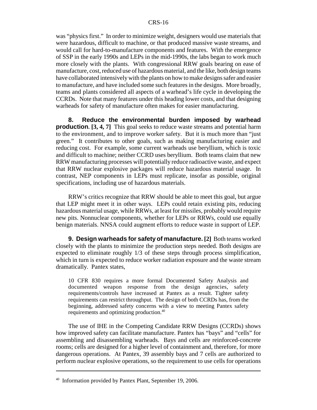was "physics first." In order to minimize weight, designers would use materials that were hazardous, difficult to machine, or that produced massive waste streams, and would call for hard-to-manufacture components and features. With the emergence of SSP in the early 1990s and LEPs in the mid-1990s, the labs began to work much more closely with the plants. With congressional RRW goals bearing on ease of manufacture, cost, reduced use of hazardous material, and the like, both design teams have collaborated intensively with the plants on how to make designs safer and easier to manufacture, and have included some such features in the designs. More broadly, teams and plants considered all aspects of a warhead's life cycle in developing the CCRDs. Note that many features under this heading lower costs, and that designing warheads for safety of manufacture often makes for easier manufacturing.

**8. Reduce the environmental burden imposed by warhead production. [3, 4, 7]** This goal seeks to reduce waste streams and potential harm to the environment, and to improve worker safety. But it is much more than "just green." It contributes to other goals, such as making manufacturing easier and reducing cost. For example, some current warheads use beryllium, which is toxic and difficult to machine; neither CCRD uses beryllium. Both teams claim that new RRW manufacturing processes will potentially reduce radioactive waste, and expect that RRW nuclear explosive packages will reduce hazardous material usage. In contrast, NEP components in LEPs must replicate, insofar as possible, original specifications, including use of hazardous materials.

RRW's critics recognize that RRW should be able to meet this goal, but argue that LEP might meet it in other ways. LEPs could retain existing pits, reducing hazardous material usage, while RRWs, at least for missiles, probably would require new pits. Nonnuclear components, whether for LEPs or RRWs, could use equally benign materials. NNSA could augment efforts to reduce waste in support of LEP.

**9. Design warheads for safety of manufacture. [2]** Both teams worked closely with the plants to minimize the production steps needed. Both designs are expected to eliminate roughly 1/3 of these steps through process simplification, which in turn is expected to reduce worker radiation exposure and the waste stream dramatically. Pantex states,

10 CFR 830 requires a more formal Documented Safety Analysis and documented weapon response from the design agencies, safety requirements/controls have increased at Pantex as a result. Tighter safety requirements can restrict throughput. The design of both CCRDs has, from the beginning, addressed safety concerns with a view to meeting Pantex safety requirements and optimizing production.40

The use of IHE in the Competing Candidate RRW Designs (CCRDs) shows how improved safety can facilitate manufacture. Pantex has "bays" and "cells" for assembling and disassembling warheads. Bays and cells are reinforced-concrete rooms; cells are designed for a higher level of containment and, therefore, for more dangerous operations. At Pantex, 39 assembly bays and 7 cells are authorized to perform nuclear explosive operations, so the requirement to use cells for operations

<sup>&</sup>lt;sup>40</sup> Information provided by Pantex Plant, September 19, 2006.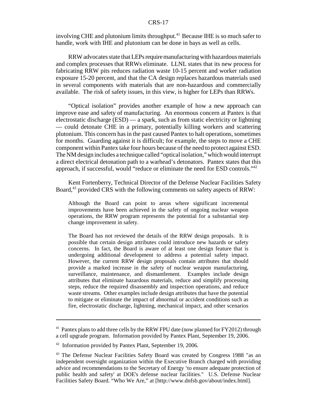involving CHE and plutonium limits throughput.<sup>41</sup> Because IHE is so much safer to handle, work with IHE and plutonium can be done in bays as well as cells.

RRW advocates state that LEPs require manufacturing with hazardous materials and complex processes that RRWs eliminate. LLNL states that its new process for fabricating RRW pits reduces radiation waste 10-15 percent and worker radiation exposure 15-20 percent, and that the CA design replaces hazardous materials used in several components with materials that are non-hazardous and commercially available. The risk of safety issues, in this view, is higher for LEPs than RRWs.

"Optical isolation" provides another example of how a new approach can improve ease and safety of manufacturing. An enormous concern at Pantex is that electrostatic discharge (ESD) — a spark, such as from static electricity or lightning — could detonate CHE in a primary, potentially killing workers and scattering plutonium. This concern has in the past caused Pantex to halt operations, sometimes for months. Guarding against it is difficult; for example, the steps to move a CHE component within Pantex take four hours because of the need to protect against ESD. The NM design includes a technique called "optical isolation," which would interrupt a direct electrical detonation path to a warhead's detonators. Pantex states that this approach, if successful, would "reduce or eliminate the need for ESD controls."42

Kent Fortenberry, Technical Director of the Defense Nuclear Facilities Safety Board,<sup>43</sup> provided CRS with the following comments on safety aspects of RRW:

Although the Board can point to areas where significant incremental improvements have been achieved in the safety of ongoing nuclear weapon operations, the RRW program represents the potential for a substantial step change improvement in safety.

The Board has not reviewed the details of the RRW design proposals. It is possible that certain design attributes could introduce new hazards or safety concerns. In fact, the Board is aware of at least one design feature that is undergoing additional development to address a potential safety impact. However, the current RRW design proposals contain attributes that should provide a marked increase in the safety of nuclear weapon manufacturing, surveillance, maintenance, and dismantlement. Examples include design attributes that eliminate hazardous materials, reduce and simplify processing steps, reduce the required disassembly and inspection operations, and reduce waste streams. Other examples include design attributes that have the potential to mitigate or eliminate the impact of abnormal or accident conditions such as fire, electrostatic discharge, lightning, mechanical impact, and other scenarios

 $41$  Pantex plans to add three cells by the RRW FPU date (now planned for FY2012) through a cell upgrade program. Information provided by Pantex Plant, September 19, 2006.

<sup>&</sup>lt;sup>42</sup> Information provided by Pantex Plant, September 19, 2006.

<sup>&</sup>lt;sup>43</sup> The Defense Nuclear Facilities Safety Board was created by Congress 1988 "as an independent oversight organization within the Executive Branch charged with providing advice and recommendations to the Secretary of Energy 'to ensure adequate protection of public health and safety' at DOE's defense nuclear facilities." U.S. Defense Nuclear Facilities Safety Board. "Who We Are," at [http://www.dnfsb.gov/about/index.html].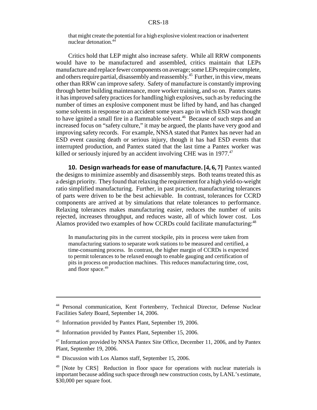that might create the potential for a high explosive violent reaction or inadvertent nuclear detonation.44

Critics hold that LEP might also increase safety. While all RRW components would have to be manufactured and assembled, critics maintain that LEPs manufacture and replace fewer components on average; some LEPs require complete, and others require partial, disassembly and reassembly.<sup>45</sup> Further, in this view, means other than RRW can improve safety. Safety of manufacture is constantly improving through better building maintenance, more worker training, and so on. Pantex states it has improved safety practices for handling high explosives, such as by reducing the number of times an explosive component must be lifted by hand, and has changed some solvents in response to an accident some years ago in which ESD was thought to have ignited a small fire in a flammable solvent.<sup>46</sup> Because of such steps and an increased focus on "safety culture," it may be argued, the plants have very good and improving safety records. For example, NNSA stated that Pantex has never had an ESD event causing death or serious injury, though it has had ESD events that interrupted production, and Pantex stated that the last time a Pantex worker was killed or seriously injured by an accident involving CHE was in 1977.<sup>47</sup>

**10. Design warheads for ease of manufacture. [4, 6, 7]** Pantex wanted the designs to minimize assembly and disassembly steps. Both teams treated this as a design priority. They found that relaxing the requirement for a high yield-to-weight ratio simplified manufacturing. Further, in past practice, manufacturing tolerances of parts were driven to be the best achievable. In contrast, tolerances for CCRD components are arrived at by simulations that relate tolerances to performance. Relaxing tolerances makes manufacturing easier, reduces the number of units rejected, increases throughput, and reduces waste, all of which lower cost. Los Alamos provided two examples of how CCRDs could facilitate manufacturing:<sup>48</sup>

In manufacturing pits in the current stockpile, pits in process were taken from manufacturing stations to separate work stations to be measured and certified, a time-consuming process. In contrast, the higher margin of CCRDs is expected to permit tolerances to be relaxed enough to enable gauging and certification of pits in process on production machines. This reduces manufacturing time, cost, and floor space.<sup>49</sup>

<sup>44</sup> Personal communication, Kent Fortenberry, Technical Director, Defense Nuclear Facilities Safety Board, September 14, 2006.

<sup>45</sup> Information provided by Pantex Plant, September 19, 2006.

<sup>46</sup> Information provided by Pantex Plant, September 15, 2006.

<sup>&</sup>lt;sup>47</sup> Information provided by NNSA Pantex Site Office, December 11, 2006, and by Pantex Plant, September 19, 2006.

<sup>48</sup> Discussion with Los Alamos staff, September 15, 2006.

<sup>&</sup>lt;sup>49</sup> [Note by CRS] Reduction in floor space for operations with nuclear materials is important because adding such space through new construction costs, by LANL's estimate, \$30,000 per square foot.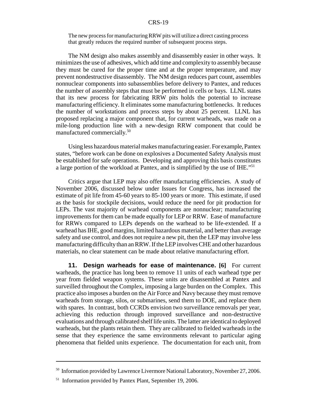The new process for manufacturing RRW pits will utilize a direct casting process that greatly reduces the required number of subsequent process steps.

The NM design also makes assembly and disassembly easier in other ways. It minimizes the use of adhesives, which add time and complexity to assembly because they must be cured for the proper time and at the proper temperature, and may prevent nondestructive disassembly. The NM design reduces part count, assembles nonnuclear components into subassemblies before delivery to Pantex, and reduces the number of assembly steps that must be performed in cells or bays. LLNL states that its new process for fabricating RRW pits holds the potential to increase manufacturing efficiency. It eliminates some manufacturing bottlenecks. It reduces the number of workstations and process steps by about 25 percent. LLNL has proposed replacing a major component that, for current warheads, was made on a mile-long production line with a new-design RRW component that could be manufactured commercially.50

Using less hazardous material makes manufacturing easier. For example, Pantex states, "before work can be done on explosives a Documented Safety Analysis must be established for safe operations. Developing and approving this basis constitutes a large portion of the workload at Pantex, and is simplified by the use of IHE."<sup>51</sup>

Critics argue that LEP may also offer manufacturing efficiencies. A study of November 2006, discussed below under Issues for Congress, has increased the estimate of pit life from 45-60 years to 85-100 years or more. This estimate, if used as the basis for stockpile decisions, would reduce the need for pit production for LEPs. The vast majority of warhead components are nonnuclear; manufacturing improvements for them can be made equally for LEP or RRW. Ease of manufacture for RRWs compared to LEPs depends on the warhead to be life-extended. If a warhead has IHE, good margins, limited hazardous material, and better than average safety and use control, and does not require a new pit, then the LEP may involve less manufacturing difficulty than an RRW. If the LEP involves CHE and other hazardous materials, no clear statement can be made about relative manufacturing effort.

**11. Design warheads for ease of maintenance. [6]** For current warheads, the practice has long been to remove 11 units of each warhead type per year from fielded weapon systems. These units are disassembled at Pantex and surveilled throughout the Complex, imposing a large burden on the Complex. This practice also imposes a burden on the Air Force and Navy because they must remove warheads from storage, silos, or submarines, send them to DOE, and replace them with spares. In contrast, both CCRDs envision two surveillance removals per year, achieving this reduction through improved surveillance and non-destructive evaluations and through calibrated shelf life units. The latter are identical to deployed warheads, but the plants retain them. They are calibrated to fielded warheads in the sense that they experience the same environments relevant to particular aging phenomena that fielded units experience. The documentation for each unit, from

<sup>&</sup>lt;sup>50</sup> Information provided by Lawrence Livermore National Laboratory, November 27, 2006.

<sup>&</sup>lt;sup>51</sup> Information provided by Pantex Plant, September 19, 2006.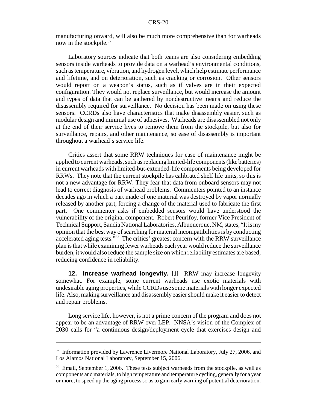manufacturing onward, will also be much more comprehensive than for warheads now in the stockpile.<sup>52</sup>

Laboratory sources indicate that both teams are also considering embedding sensors inside warheads to provide data on a warhead's environmental conditions, such as temperature, vibration, and hydrogen level, which help estimate performance and lifetime, and on deterioration, such as cracking or corrosion. Other sensors would report on a weapon's status, such as if valves are in their expected configuration. They would not replace surveillance, but would increase the amount and types of data that can be gathered by nondestructive means and reduce the disassembly required for surveillance. No decision has been made on using these sensors. CCRDs also have characteristics that make disassembly easier, such as modular design and minimal use of adhesives. Warheads are disassembled not only at the end of their service lives to remove them from the stockpile, but also for surveillance, repairs, and other maintenance, so ease of disassembly is important throughout a warhead's service life.

Critics assert that some RRW techniques for ease of maintenance might be applied to current warheads, such as replacing limited-life components (like batteries) in current warheads with limited-but-extended-life components being developed for RRWs. They note that the current stockpile has calibrated shelf life units, so this is not a new advantage for RRW. They fear that data from onboard sensors may not lead to correct diagnosis of warhead problems. Commenters pointed to an instance decades ago in which a part made of one material was destroyed by vapor normally released by another part, forcing a change of the material used to fabricate the first part. One commenter asks if embedded sensors would have understood the vulnerability of the original component. Robert Peurifoy, former Vice President of Technical Support, Sandia National Laboratories, Albuquerque, NM, states, "It is my opinion that the best way of searching for material incompatibilities is by conducting accelerated aging tests."53 The critics' greatest concern with the RRW surveillance plan is that while examining fewer warheads each year would reduce the surveillance burden, it would also reduce the sample size on which reliability estimates are based, reducing confidence in reliability.

**12. Increase warhead longevity. [1]** RRW may increase longevity somewhat. For example, some current warheads use exotic materials with undesirable aging properties, while CCRDs use some materials with longer expected life. Also, making surveillance and disassembly easier should make it easier to detect and repair problems.

Long service life, however, is not a prime concern of the program and does not appear to be an advantage of RRW over LEP. NNSA's vision of the Complex of 2030 calls for "a continuous design/deployment cycle that exercises design and

<sup>&</sup>lt;sup>52</sup> Information provided by Lawrence Livermore National Laboratory, July 27, 2006, and Los Alamos National Laboratory, September 15, 2006.

<sup>&</sup>lt;sup>53</sup> Email, September 1, 2006. These tests subject warheads from the stockpile, as well as components and materials, to high temperature and temperature cycling, generally for a year or more, to speed up the aging process so as to gain early warning of potential deterioration.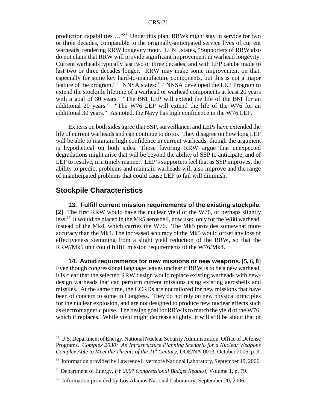production capabilities …"54 Under this plan, RRWs might stay in service for two or three decades, comparable to the originally-anticipated service lives of current warheads, rendering RRW longevity moot. LLNL states, "Supporters of RRW also do not claim that RRW will provide significant improvement in warhead longevity. Current warheads typically last two or three decades, and with LEP can be made to last two or three decades longer. RRW may make some improvement on that, especially for some key hard-to-manufacture components, but this is not a major feature of the program."<sup>55</sup> NNSA states:<sup>56</sup> "NNSA developed the LEP Program to extend the stockpile lifetime of a warhead or warhead components at least 20 years with a goal of 30 years." "The B61 LEP will extend the life of the B61 for an additional 20 years." "The W76 LEP will extend the life of the W76 for an additional 30 years." As noted, the Navy has high confidence in the W76 LEP.

Experts on both sides agree that SSP, surveillance, and LEPs have extended the life of current warheads and can continue to do so. They disagree on how long LEP will be able to maintain high confidence in current warheads, though the argument is hypothetical on both sides. Those favoring RRW argue that unexpected degradations might arise that will be beyond the ability of SSP to anticipate, and of LEP to resolve, in a timely manner. LEP's supporters feel that as SSP improves, the ability to predict problems and maintain warheads will also improve and the range of unanticipated problems that could cause LEP to fail will diminish.

# **Stockpile Characteristics**

**13. Fulfill current mission requirements of the existing stockpile. [2]** The first RRW would have the nuclear yield of the W76, or perhaps slightly less.57 It would be placed in the Mk5 aeroshell, now used only for the W88 warhead, instead of the Mk4, which carries the W76. The Mk5 provides somewhat more accuracy than the Mk4. The increased accuracy of the Mk5 would offset any loss of effectiveness stemming from a slight yield reduction of the RRW, so that the RRW/Mk5 unit could fulfill mission requirements of the W76/Mk4.

**14. Avoid requirements for new missions or new weapons. [5, 6, 8]** Even though congressional language leaves unclear if RRW is to be a new warhead, it is clear that the selected RRW design would replace existing warheads with newdesign warheads that can perform current missions using existing aeroshells and missiles. At the same time, the CCRDs are not tailored for new missions that have been of concern to some in Congress. They do not rely on new physical principles for the nuclear explosion, and are not designed to produce new nuclear effects such as electromagnetic pulse. The design goal for RRW is to match the yield of the W76, which it replaces. While yield might decrease slightly, it will still be about that of

<sup>54</sup> U.S. Department of Energy. National Nuclear Security Administration. Office of Defense Programs. *Complex 2030: An Infrastructure Planning Scenario for a Nuclear Weapons Complex Able to Meet the Threats of the 21st Century,* DOE/NA-0013, October 2006, p. 9.

<sup>&</sup>lt;sup>55</sup> Information provided by Lawrence Livermore National Laboratory, September 19, 2006.

<sup>56</sup> Department of Energy, *FY 2007 Congressional Budget Request,* Volume 1, p. 79.

<sup>&</sup>lt;sup>57</sup> Information provided by Los Alamos National Laboratory, September 20, 2006.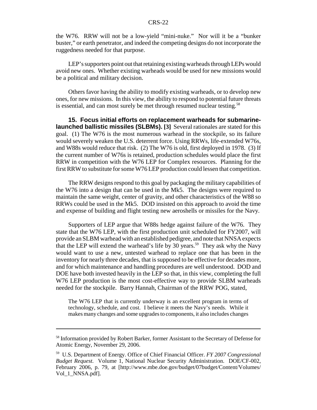the W76. RRW will not be a low-yield "mini-nuke." Nor will it be a "bunker buster," or earth penetrator, and indeed the competing designs do not incorporate the ruggedness needed for that purpose.

LEP's supporters point out that retaining existing warheads through LEPs would avoid new ones. Whether existing warheads would be used for new missions would be a political and military decision.

Others favor having the ability to modify existing warheads, or to develop new ones, for new missions. In this view, the ability to respond to potential future threats is essential, and can most surely be met through resumed nuclear testing.<sup>58</sup>

**15. Focus initial efforts on replacement warheads for submarinelaunched ballistic missiles (SLBMs). [3]** Several rationales are stated for this goal. (1) The W76 is the most numerous warhead in the stockpile, so its failure would severely weaken the U.S. deterrent force. Using RRWs, life-extended W76s, and W88s would reduce that risk. (2) The W76 is old, first deployed in 1978. (3) If the current number of W76s is retained, production schedules would place the first RRW in competition with the W76 LEP for Complex resources. Planning for the first RRW to substitute for some W76 LEP production could lessen that competition.

The RRW designs respond to this goal by packaging the military capabilities of the W76 into a design that can be used in the Mk5. The designs were required to maintain the same weight, center of gravity, and other characteristics of the W88 so RRWs could be used in the Mk5. DOD insisted on this approach to avoid the time and expense of building and flight testing new aeroshells or missiles for the Navy.

Supporters of LEP argue that W88s hedge against failure of the W76. They state that the W76 LEP, with the first production unit scheduled for FY2007, will provide an SLBM warhead with an established pedigree, and note that NNSA expects that the LEP will extend the warhead's life by 30 years.<sup>59</sup> They ask why the Navy would want to use a new, untested warhead to replace one that has been in the inventory for nearly three decades, that is supposed to be effective for decades more, and for which maintenance and handling procedures are well understood. DOD and DOE have both invested heavily in the LEP so that, in this view, completing the full W76 LEP production is the most cost-effective way to provide SLBM warheads needed for the stockpile. Barry Hannah, Chairman of the RRW POG, stated,

The W76 LEP that is currently underway is an excellent program in terms of technology, schedule, and cost. I believe it meets the Navy's needs. While it makes many changes and some upgrades to components, it also includes changes

<sup>58</sup> Information provided by Robert Barker, former Assistant to the Secretary of Defense for Atomic Energy, November 29, 2006.

<sup>59</sup> U.S. Department of Energy. Office of Chief Financial Officer. *FY 2007 Congressional Budget Request.* Volume 1, National Nuclear Security Administration. DOE/CF-002, February 2006, p. 79, at [http://www.mbe.doe.gov/budget/07budget/Content/Volumes/ Vol\_1\_NNSA.pdf].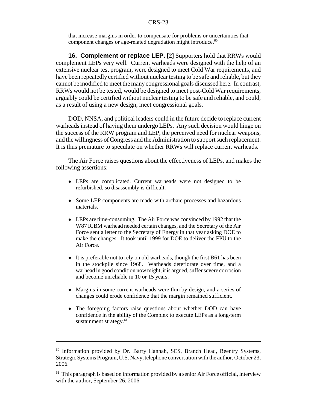that increase margins in order to compensate for problems or uncertainties that component changes or age-related degradation might introduce.<sup>60</sup>

**16. Complement or replace LEP. [2]** Supporters hold that RRWs would complement LEPs very well. Current warheads were designed with the help of an extensive nuclear test program, were designed to meet Cold War requirements, and have been repeatedly certified without nuclear testing to be safe and reliable, but they cannot be modified to meet the many congressional goals discussed here. In contrast, RRWs would not be tested, would be designed to meet post-Cold War requirements, arguably could be certified without nuclear testing to be safe and reliable, and could, as a result of using a new design, meet congressional goals.

DOD, NNSA, and political leaders could in the future decide to replace current warheads instead of having them undergo LEPs. Any such decision would hinge on the success of the RRW program and LEP, the perceived need for nuclear weapons, and the willingness of Congress and the Administration to support such replacement. It is thus premature to speculate on whether RRWs will replace current warheads.

The Air Force raises questions about the effectiveness of LEPs, and makes the following assertions:

- LEPs are complicated. Current warheads were not designed to be refurbished, so disassembly is difficult.
- Some LEP components are made with archaic processes and hazardous materials.
- LEPs are time-consuming. The Air Force was convinced by 1992 that the W87 ICBM warhead needed certain changes, and the Secretary of the Air Force sent a letter to the Secretary of Energy in that year asking DOE to make the changes. It took until 1999 for DOE to deliver the FPU to the Air Force.
- It is preferable not to rely on old warheads, though the first B61 has been in the stockpile since 1968. Warheads deteriorate over time, and a warhead in good condition now might, it is argued, suffer severe corrosion and become unreliable in 10 or 15 years.
- Margins in some current warheads were thin by design, and a series of changes could erode confidence that the margin remained sufficient.
- The foregoing factors raise questions about whether DOD can have confidence in the ability of the Complex to execute LEPs as a long-term sustainment strategy.<sup>61</sup>

<sup>&</sup>lt;sup>60</sup> Information provided by Dr. Barry Hannah, SES, Branch Head, Reentry Systems, Strategic Systems Program, U.S. Navy, telephone conversation with the author, October 23, 2006.

 $61$  This paragraph is based on information provided by a senior Air Force official, interview with the author, September 26, 2006.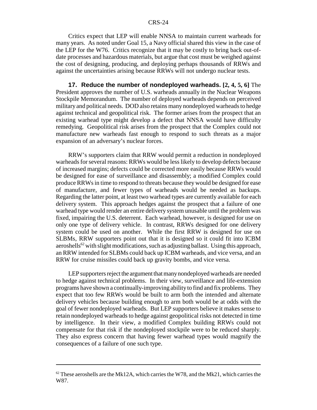Critics expect that LEP will enable NNSA to maintain current warheads for many years. As noted under Goal 15, a Navy official shared this view in the case of the LEP for the W76. Critics recognize that it may be costly to bring back out-ofdate processes and hazardous materials, but argue that cost must be weighed against the cost of designing, producing, and deploying perhaps thousands of RRWs and against the uncertainties arising because RRWs will not undergo nuclear tests.

**17. Reduce the number of nondeployed warheads. [2, 4, 5, 6]** The President approves the number of U.S. warheads annually in the Nuclear Weapons Stockpile Memorandum. The number of deployed warheads depends on perceived military and political needs. DOD also retains many nondeployed warheads to hedge against technical and geopolitical risk. The former arises from the prospect that an existing warhead type might develop a defect that NNSA would have difficulty remedying. Geopolitical risk arises from the prospect that the Complex could not manufacture new warheads fast enough to respond to such threats as a major expansion of an adversary's nuclear forces.

RRW's supporters claim that RRW would permit a reduction in nondeployed warheads for several reasons: RRWs would be less likely to develop defects because of increased margins; defects could be corrected more easily because RRWs would be designed for ease of surveillance and disassembly; a modified Complex could produce RRWs in time to respond to threats because they would be designed for ease of manufacture, and fewer types of warheads would be needed as backups. Regarding the latter point, at least two warhead types are currently available for each delivery system. This approach hedges against the prospect that a failure of one warhead type would render an entire delivery system unusable until the problem was fixed, impairing the U.S. deterrent. Each warhead, however, is designed for use on only one type of delivery vehicle. In contrast, RRWs designed for one delivery system could be used on another. While the first RRW is designed for use on SLBMs, RRW supporters point out that it is designed so it could fit into ICBM aeroshells<sup>62</sup> with slight modifications, such as adjusting ballast. Using this approach, an RRW intended for SLBMs could back up ICBM warheads, and vice versa, and an RRW for cruise missiles could back up gravity bombs, and vice versa.

LEP supporters reject the argument that many nondeployed warheads are needed to hedge against technical problems. In their view, surveillance and life-extension programs have shown a continually-improving ability to find and fix problems. They expect that too few RRWs would be built to arm both the intended and alternate delivery vehicles because building enough to arm both would be at odds with the goal of fewer nondeployed warheads. But LEP supporters believe it makes sense to retain nondeployed warheads to hedge against geopolitical risks not detected in time by intelligence. In their view, a modified Complex building RRWs could not compensate for that risk if the nondeployed stockpile were to be reduced sharply. They also express concern that having fewer warhead types would magnify the consequences of a failure of one such type.

 $62$  These aeroshells are the Mk12A, which carries the W78, and the Mk21, which carries the W87.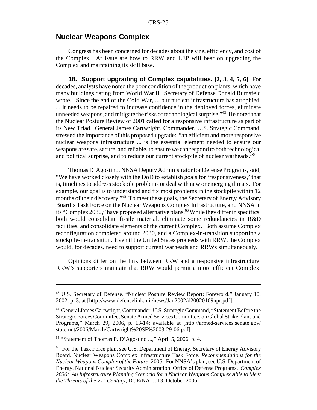# **Nuclear Weapons Complex**

Congress has been concerned for decades about the size, efficiency, and cost of the Complex. At issue are how to RRW and LEP will bear on upgrading the Complex and maintaining its skill base.

**18. Support upgrading of Complex capabilities. [2, 3, 4, 5, 6]** For decades, analysts have noted the poor condition of the production plants, which have many buildings dating from World War II. Secretary of Defense Donald Rumsfeld wrote, "Since the end of the Cold War, ... our nuclear infrastructure has atrophied. ... it needs to be repaired to increase confidence in the deployed forces, eliminate unneeded weapons, and mitigate the risks of technological surprise."63 He noted that the Nuclear Posture Review of 2001 called for a responsive infrastructure as part of its New Triad. General James Cartwright, Commander, U.S. Strategic Command, stressed the importance of this proposed upgrade: "an efficient and more responsive nuclear weapons infrastructure ... is the essential element needed to ensure our weapons are safe, secure, and reliable, to ensure we can respond to both technological and political surprise, and to reduce our current stockpile of nuclear warheads."<sup>64</sup>

Thomas D'Agostino, NNSA Deputy Administrator for Defense Programs, said, "We have worked closely with the DoD to establish goals for 'responsiveness,' that is, timelines to address stockpile problems or deal with new or emerging threats. For example, our goal is to understand and fix most problems in the stockpile within 12 months of their discovery."<sup>65</sup> To meet these goals, the Secretary of Energy Advisory Board's Task Force on the Nuclear Weapons Complex Infrastructure, and NNSA in its "Complex 2030," have proposed alternative plans.<sup>66</sup> While they differ in specifics, both would consolidate fissile material, eliminate some redundancies in R&D facilities, and consolidate elements of the current Complex. Both assume Complex reconfiguration completed around 2030, and a Complex-in-transition supporting a stockpile-in-transition. Even if the United States proceeds with RRW, the Complex would, for decades, need to support current warheads and RRWs simultaneously.

Opinions differ on the link between RRW and a responsive infrastructure. RRW's supporters maintain that RRW would permit a more efficient Complex.

<sup>63</sup> U.S. Secretary of Defense. "Nuclear Posture Review Report: Foreword." January 10, 2002, p. 3, at [http://www.defenselink.mil/news/Jan2002/d20020109npr.pdf].

<sup>64</sup> General James Cartwright, Commander, U.S. Strategic Command, "Statement Before the Strategic Forces Committee, Senate Armed Services Committee, on Global Strike Plans and Programs," March 29, 2006, p. 13-14; available at [http://armed-services.senate.gov/ statemnt/2006/March/Cartwright%20SF%2003-29-06.pdf].

<sup>65 &</sup>quot;Statement of Thomas P. D'Agostino ...," April 5, 2006, p. 4.

<sup>&</sup>lt;sup>66</sup> For the Task Force plan, see U.S. Department of Energy. Secretary of Energy Advisory Board. Nuclear Weapons Complex Infrastructure Task Force. *Recommendations for the Nuclear Weapons Complex of the Future,* 2005. For NNSA's plan, see U.S. Department of Energy. National Nuclear Security Administration. Office of Defense Programs. *Complex 2030: An Infrastructure Planning Scenario for a Nuclear Weapons Complex Able to Meet the Threats of the 21st Century,* DOE/NA-0013, October 2006.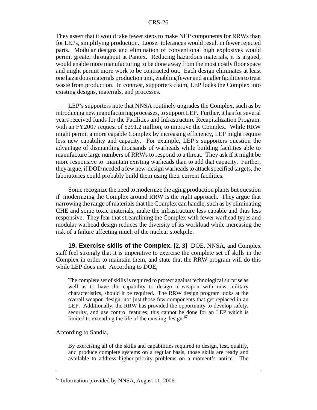They assert that it would take fewer steps to make NEP components for RRWs than for LEPs, simplifying production. Looser tolerances would result in fewer rejected parts. Modular designs and elimination of conventional high explosives would permit greater throughput at Pantex. Reducing hazardous materials, it is argued, would enable more manufacturing to be done away from the most costly floor space and might permit more work to be contracted out. Each design eliminates at least one hazardous materials production unit, enabling fewer and smaller facilities to treat waste from production. In contrast, supporters claim, LEP locks the Complex into existing designs, materials, and processes.

LEP's supporters note that NNSA routinely upgrades the Complex, such as by introducing new manufacturing processes, to support LEP. Further, it has for several years received funds for the Facilities and Infrastructure Recapitalization Program, with an FY2007 request of \$291.2 million, to improve the Complex. While RRW might permit a more capable Complex by increasing efficiency, LEP might require less new capability and capacity. For example, LEP's supporters question the advantage of dismantling thousands of warheads while building facilities able to manufacture large numbers of RRWs to respond to a threat. They ask if it might be more responsive to maintain existing warheads than to add that capacity. Further, they argue, if DOD needed a few new-design warheads to attack specified targets, the laboratories could probably build them using their current facilities.

Some recognize the need to modernize the aging production plants but question if modernizing the Complex around RRW is the right approach. They argue that narrowing the range of materials that the Complex can handle, such as by eliminating CHE and some toxic materials, make the infrastructure less capable and thus less responsive. They fear that streamlining the Complex with fewer warhead types and modular warhead design reduces the diversity of its workload while increasing the risk of a failure affecting much of the nuclear stockpile.

**19. Exercise skills of the Complex. [2, 3]** DOE, NNSA, and Complex staff feel strongly that it is imperative to exercise the complete set of skills in the Complex in order to maintain them, and state that the RRW program will do this while LEP does not. According to DOE,

The complete set of skills is required to protect against technological surprise as well as to have the capability to design a weapon with new military characteristics, should it be required. The RRW design program looks at the overall weapon design, not just those few components that get replaced in an LEP. Additionally, the RRW has provided the opportunity to develop safety, security, and use control features; this cannot be done for an LEP which is limited to extending the life of the existing design. $67$ 

According to Sandia,

By exercising all of the skills and capabilities required to design, test, qualify, and produce complete systems on a regular basis, those skills are ready and available to address higher-priority problems on a moment's notice. The

<sup>&</sup>lt;sup>67</sup> Information provided by NNSA, August 11, 2006.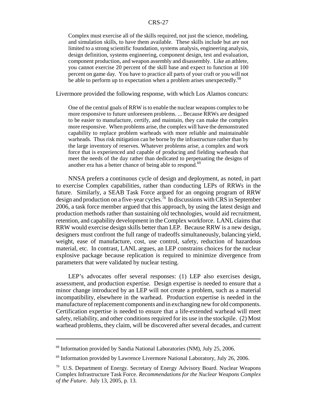Complex must exercise all of the skills required, not just the science, modeling, and simulation skills, to have them available. These skills include but are not limited to a strong scientific foundation, systems analysis, engineering analysis, design definition, systems engineering, component design, test and evaluation, component production, and weapon assembly and disassembly. Like an athlete, you cannot exercise 20 percent of the skill base and expect to function at 100 percent on game day. You have to practice all parts of your craft or you will not be able to perform up to expectation when a problem arises unexpectedly.<sup>68</sup>

Livermore provided the following response, with which Los Alamos concurs:

One of the central goals of RRW is to enable the nuclear weapons complex to be more responsive to future unforeseen problems. ... Because RRWs are designed to be easier to manufacture, certify, and maintain, they can make the complex more responsive. When problems arise, the complex will have the demonstrated capability to replace problem warheads with more reliable and maintainable warheads. Thus risk mitigation can be borne by the infrastructure rather than by the large inventory of reserves. Whatever problems arise, a complex and work force that is experienced and capable of producing and fielding warheads that meet the needs of the day rather than dedicated to perpetuating the designs of another era has a better chance of being able to respond.<sup>69</sup>

NNSA prefers a continuous cycle of design and deployment, as noted, in part to exercise Complex capabilities, rather than conducting LEPs of RRWs in the future. Similarly, a SEAB Task Force argued for an ongoing program of RRW design and production on a five-year cycles.<sup>70</sup> In discussions with CRS in September 2006, a task force member argued that this approach, by using the latest design and production methods rather than sustaining old technologies, would aid recruitment, retention, and capability development in the Complex workforce. LANL claims that RRW would exercise design skills better than LEP. Because RRW is a new design, designers must confront the full range of tradeoffs simultaneously, balancing yield, weight, ease of manufacture, cost, use control, safety, reduction of hazardous material, etc. In contrast, LANL argues, an LEP constrains choices for the nuclear explosive package because replication is required to minimize divergence from parameters that were validated by nuclear testing.

LEP's advocates offer several responses: (1) LEP also exercises design, assessment, and production expertise. Design expertise is needed to ensure that a minor change introduced by an LEP will not create a problem, such as a material incompatibility, elsewhere in the warhead. Production expertise is needed in the manufacture of replacement components and in exchanging new for old components. Certification expertise is needed to ensure that a life-extended warhead will meet safety, reliability, and other conditions required for its use in the stockpile. (2) Most warhead problems, they claim, will be discovered after several decades, and current

<sup>&</sup>lt;sup>68</sup> Information provided by Sandia National Laboratories (NM), July 25, 2006.

<sup>&</sup>lt;sup>69</sup> Information provided by Lawrence Livermore National Laboratory, July 26, 2006.

<sup>70</sup> U.S. Department of Energy. Secretary of Energy Advisory Board. Nuclear Weapons Complex Infrastructure Task Force. *Recommendations for the Nuclear Weapons Complex of the Future.* July 13, 2005, p. 13.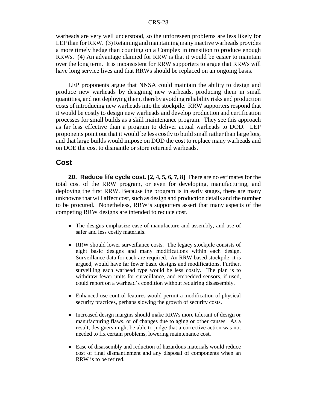warheads are very well understood, so the unforeseen problems are less likely for LEP than for RRW. (3) Retaining and maintaining many inactive warheads provides a more timely hedge than counting on a Complex in transition to produce enough RRWs. (4) An advantage claimed for RRW is that it would be easier to maintain over the long term. It is inconsistent for RRW supporters to argue that RRWs will have long service lives and that RRWs should be replaced on an ongoing basis.

LEP proponents argue that NNSA could maintain the ability to design and produce new warheads by designing new warheads, producing them in small quantities, and not deploying them, thereby avoiding reliability risks and production costs of introducing new warheads into the stockpile. RRW supporters respond that it would be costly to design new warheads and develop production and certification processes for small builds as a skill maintenance program. They see this approach as far less effective than a program to deliver actual warheads to DOD. LEP proponents point out that it would be less costly to build small rather than large lots, and that large builds would impose on DOD the cost to replace many warheads and on DOE the cost to dismantle or store returned warheads.

# **Cost**

**20. Reduce life cycle cost. [2, 4, 5, 6, 7, 8]** There are no estimates for the total cost of the RRW program, or even for developing, manufacturing, and deploying the first RRW. Because the program is in early stages, there are many unknowns that will affect cost, such as design and production details and the number to be procured. Nonetheless, RRW's supporters assert that many aspects of the competing RRW designs are intended to reduce cost.

- The designs emphasize ease of manufacture and assembly, and use of safer and less costly materials.
- RRW should lower surveillance costs. The legacy stockpile consists of eight basic designs and many modifications within each design. Surveillance data for each are required. An RRW-based stockpile, it is argued, would have far fewer basic designs and modifications. Further, surveilling each warhead type would be less costly. The plan is to withdraw fewer units for surveillance, and embedded sensors, if used, could report on a warhead's condition without requiring disassembly.
- ! Enhanced use-control features would permit a modification of physical security practices, perhaps slowing the growth of security costs.
- Increased design margins should make RRWs more tolerant of design or manufacturing flaws, or of changes due to aging or other causes. As a result, designers might be able to judge that a corrective action was not needed to fix certain problems, lowering maintenance cost.
- Ease of disassembly and reduction of hazardous materials would reduce cost of final dismantlement and any disposal of components when an RRW is to be retired.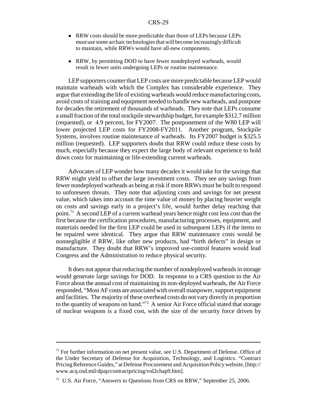- RRW costs should be more predictable than those of LEPs because LEPs must use some archaic technologies that will become increasingly difficult to maintain, while RRWs would have all-new components.
- RRW, by permitting DOD to have fewer nondeployed warheads, would result in fewer units undergoing LEPs or routine maintenance.

LEP supporters counter that LEP costs are more predictable because LEP would maintain warheads with which the Complex has considerable experience. They argue that extending the life of existing warheads would reduce manufacturing costs, avoid costs of training and equipment needed to handle new warheads, and postpone for decades the retirement of thousands of warheads. They note that LEPs consume a small fraction of the total stockpile stewardship budget, for example \$312.7 million (requested), or 4.9 percent, for FY2007. The postponement of the W80 LEP will lower projected LEP costs for FY2008-FY2011. Another program, Stockpile Systems, involves routine maintenance of warheads. Its FY2007 budget is \$325.5 million (requested). LEP supporters doubt that RRW could reduce these costs by much, especially because they expect the large body of relevant experience to hold down costs for maintaining or life-extending current warheads.

Advocates of LEP wonder how many decades it would take for the savings that RRW might yield to offset the large investment costs. They see any savings from fewer nondeployed warheads as being at risk if more RRWs must be built to respond to unforeseen threats. They note that adjusting costs and savings for net present value, which takes into account the time value of money by placing heavier weight on costs and savings early in a project's life, would further delay reaching that point.<sup>71</sup> A second LEP of a current warhead years hence might cost less cost than the first because the certification procedures, manufacturing processes, equipment, and materials needed for the first LEP could be used in subsequent LEPs if the items to be repaired were identical. They argue that RRW maintenance costs would be nonnegligible if RRW, like other new products, had "birth defects" in design or manufacture. They doubt that RRW's improved use-control features would lead Congress and the Administration to reduce physical security.

It does not appear that reducing the number of nondeployed warheads in storage would generate large savings for DOD. In response to a CRS question to the Air Force about the annual cost of maintaining its non-deployed warheads, the Air Force responded, "Most AF costs are associated with overall manpower, support equipment and facilities. The majority of these overhead costs do not vary directly in proportion to the quantity of weapons on hand."72 A senior Air Force official stated that storage of nuclear weapons is a fixed cost, with the size of the security force driven by

 $71$  For further information on net present value, see U.S. Department of Defense. Office of the Under Secretary of Defense for Acquisition, Technology, and Logistics. "Contract Pricing Reference Guides," at Defense Procurement and Acquisition Policy website, [http:// www.acq.osd.mil/dpap/contractpricing/vol2chap9.htm].

 $72$  U.S. Air Force, "Answers to Questions from CRS on RRW," September 25, 2006.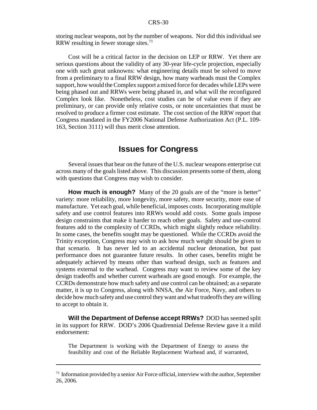storing nuclear weapons, not by the number of weapons. Nor did this individual see RRW resulting in fewer storage sites.73

Cost will be a critical factor in the decision on LEP or RRW. Yet there are serious questions about the validity of any 30-year life-cycle projection, especially one with such great unknowns: what engineering details must be solved to move from a preliminary to a final RRW design, how many warheads must the Complex support, how would the Complex support a mixed force for decades while LEPs were being phased out and RRWs were being phased in, and what will the reconfigured Complex look like. Nonetheless, cost studies can be of value even if they are preliminary, or can provide only relative costs, or note uncertainties that must be resolved to produce a firmer cost estimate. The cost section of the RRW report that Congress mandated in the FY2006 National Defense Authorization Act (P.L. 109- 163, Section 3111) will thus merit close attention.

# **Issues for Congress**

Several issues that bear on the future of the U.S. nuclear weapons enterprise cut across many of the goals listed above. This discussion presents some of them, along with questions that Congress may wish to consider.

**How much is enough?** Many of the 20 goals are of the "more is better" variety: more reliability, more longevity, more safety, more security, more ease of manufacture. Yet each goal, while beneficial, imposes costs. Incorporating multiple safety and use control features into RRWs would add costs. Some goals impose design constraints that make it harder to reach other goals. Safety and use-control features add to the complexity of CCRDs, which might slightly reduce reliability. In some cases, the benefits sought may be questioned. While the CCRDs avoid the Trinity exception, Congress may wish to ask how much weight should be given to that scenario. It has never led to an accidental nuclear detonation, but past performance does not guarantee future results. In other cases, benefits might be adequately achieved by means other than warhead design, such as features and systems external to the warhead. Congress may want to review some of the key design tradeoffs and whether current warheads are good enough. For example, the CCRDs demonstrate how much safety and use control can be obtained; as a separate matter, it is up to Congress, along with NNSA, the Air Force, Navy, and others to decide how much safety and use control they want and what tradeoffs they are willing to accept to obtain it.

**Will the Department of Defense accept RRWs?** DOD has seemed split in its support for RRW. DOD's 2006 Quadrennial Defense Review gave it a mild endorsement:

The Department is working with the Department of Energy to assess the feasibility and cost of the Reliable Replacement Warhead and, if warranted,

 $73$  Information provided by a senior Air Force official, interview with the author, September 26, 2006.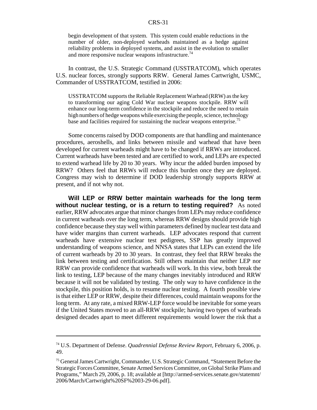begin development of that system. This system could enable reductions in the number of older, non-deployed warheads maintained as a hedge against reliability problems in deployed systems, and assist in the evolution to smaller and more responsive nuclear weapons infrastructure.<sup>74</sup>

In contrast, the U.S. Strategic Command (USSTRATCOM), which operates U.S. nuclear forces, strongly supports RRW. General James Cartwright, USMC, Commander of USSTRATCOM, testified in 2006:

USSTRATCOM supports the Reliable Replacement Warhead (RRW) as the key to transforming our aging Cold War nuclear weapons stockpile. RRW will enhance our long-term confidence in the stockpile and reduce the need to retain high numbers of hedge weapons while exercising the people, science, technology base and facilities required for sustaining the nuclear weapons enterprise.<sup>75</sup>

Some concerns raised by DOD components are that handling and maintenance procedures, aeroshells, and links between missile and warhead that have been developed for current warheads might have to be changed if RRWs are introduced. Current warheads have been tested and are certified to work, and LEPs are expected to extend warhead life by 20 to 30 years. Why incur the added burden imposed by RRW? Others feel that RRWs will reduce this burden once they are deployed. Congress may wish to determine if DOD leadership strongly supports RRW at present, and if not why not.

**Will LEP or RRW better maintain warheads for the long term without nuclear testing, or is a return to testing required?** As noted earlier, RRW advocates argue that minor changes from LEPs may reduce confidence in current warheads over the long term, whereas RRW designs should provide high confidence because they stay well within parameters defined by nuclear test data and have wider margins than current warheads. LEP advocates respond that current warheads have extensive nuclear test pedigrees, SSP has greatly improved understanding of weapons science, and NNSA states that LEPs can extend the life of current warheads by 20 to 30 years. In contrast, they feel that RRW breaks the link between testing and certification. Still others maintain that neither LEP nor RRW can provide confidence that warheads will work. In this view, both break the link to testing, LEP because of the many changes inevitably introduced and RRW because it will not be validated by testing. The only way to have confidence in the stockpile, this position holds, is to resume nuclear testing. A fourth possible view is that either LEP or RRW, despite their differences, could maintain weapons for the long term. At any rate, a mixed RRW-LEP force would be inevitable for some years if the United States moved to an all-RRW stockpile; having two types of warheads designed decades apart to meet different requirements would lower the risk that a

<sup>74</sup> U.S. Department of Defense. *Quadrennial Defense Review Report,* February 6, 2006, p. 49.

<sup>&</sup>lt;sup>75</sup> General James Cartwright, Commander, U.S. Strategic Command, "Statement Before the Strategic Forces Committee, Senate Armed Services Committee, on Global Strike Plans and Programs," March 29, 2006, p. 18; available at [http://armed-services.senate.gov/statemnt/ 2006/March/Cartwright%20SF%2003-29-06.pdf].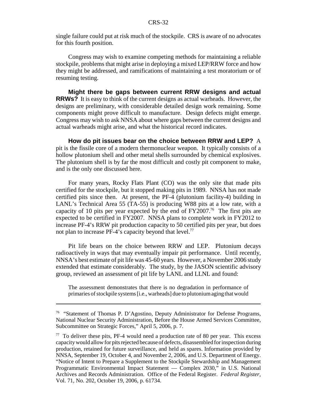single failure could put at risk much of the stockpile. CRS is aware of no advocates for this fourth position.

Congress may wish to examine competing methods for maintaining a reliable stockpile, problems that might arise in deploying a mixed LEP/RRW force and how they might be addressed, and ramifications of maintaining a test moratorium or of resuming testing.

**Might there be gaps between current RRW designs and actual RRWs?** It is easy to think of the current designs as actual warheads. However, the designs are preliminary, with considerable detailed design work remaining. Some components might prove difficult to manufacture. Design defects might emerge. Congress may wish to ask NNSA about where gaps between the current designs and actual warheads might arise, and what the historical record indicates.

**How do pit issues bear on the choice between RRW and LEP?** A pit is the fissile core of a modern thermonuclear weapon. It typically consists of a hollow plutonium shell and other metal shells surrounded by chemical explosives. The plutonium shell is by far the most difficult and costly pit component to make, and is the only one discussed here.

For many years, Rocky Flats Plant (CO) was the only site that made pits certified for the stockpile, but it stopped making pits in 1989. NNSA has not made certified pits since then. At present, the PF-4 (plutonium facility-4) building in LANL's Technical Area 55 (TA-55) is producing W88 pits at a low rate, with a capacity of 10 pits per year expected by the end of  $FY2007<sup>76</sup>$  The first pits are expected to be certified in FY2007. NNSA plans to complete work in FY2012 to increase PF-4's RRW pit production capacity to 50 certified pits per year, but does not plan to increase PF-4's capacity beyond that level.<sup>77</sup>

Pit life bears on the choice between RRW and LEP. Plutonium decays radioactively in ways that may eventually impair pit performance. Until recently, NNSA's best estimate of pit life was 45-60 years. However, a November 2006 study extended that estimate considerably. The study, by the JASON scientific advisory group, reviewed an assessment of pit life by LANL and LLNL and found:

The assessment demonstrates that there is no degradation in performance of primaries of stockpile systems [i.e., warheads] due to plutonium aging that would

<sup>76 &</sup>quot;Statement of Thomas P. D'Agostino, Deputy Administrator for Defense Programs, National Nuclear Security Administration, Before the House Armed Services Committee, Subcommittee on Strategic Forces," April 5, 2006, p. 7.

 $77$  To deliver these pits, PF-4 would need a production rate of 80 per year. This excess capacity would allow for pits rejected because of defects, disassembled for inspection during production, retained for future surveillance, and held as spares. Information provided by NNSA, September 19, October 4, and November 2, 2006, and U.S. Department of Energy. "Notice of Intent to Prepare a Supplement to the Stockpile Stewardship and Management Programmatic Environmental Impact Statement — Complex 2030," in U.S. National Archives and Records Administration. Office of the Federal Register. *Federal Register,* Vol. 71, No. 202, October 19, 2006, p. 61734.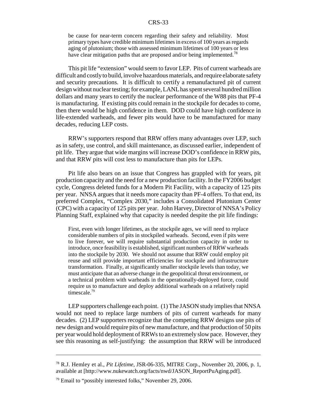be cause for near-term concern regarding their safety and reliability. Most primary types have credible minimum lifetimes in excess of 100 years as regards aging of plutonium; those with assessed minimum lifetimes of 100 years or less have clear mitigation paths that are proposed and/or being implemented.<sup>78</sup>

This pit life "extension" would seem to favor LEP. Pits of current warheads are difficult and costly to build, involve hazardous materials, and require elaborate safety and security precautions. It is difficult to certify a remanufactured pit of current design without nuclear testing; for example, LANL has spent several hundred million dollars and many years to certify the nuclear performance of the W88 pits that PF-4 is manufacturing. If existing pits could remain in the stockpile for decades to come, then there would be high confidence in them. DOD could have high confidence in life-extended warheads, and fewer pits would have to be manufactured for many decades, reducing LEP costs.

RRW's supporters respond that RRW offers many advantages over LEP, such as in safety, use control, and skill maintenance, as discussed earlier, independent of pit life. They argue that wide margins will increase DOD's confidence in RRW pits, and that RRW pits will cost less to manufacture than pits for LEPs.

Pit life also bears on an issue that Congress has grappled with for years, pit production capacity and the need for a new production facility. In the FY2006 budget cycle, Congress deleted funds for a Modern Pit Facility, with a capacity of 125 pits per year. NNSA argues that it needs more capacity than PF-4 offers. To that end, its preferred Complex, "Complex 2030," includes a Consolidated Plutonium Center (CPC) with a capacity of 125 pits per year. John Harvey, Director of NNSA's Policy Planning Staff, explained why that capacity is needed despite the pit life findings:

First, even with longer lifetimes, as the stockpile ages, we will need to replace considerable numbers of pits in stockpiled warheads. Second, even if pits were to live forever, we will require substantial production capacity in order to introduce, once feasibility is established, significant numbers of RRW warheads into the stockpile by 2030. We should not assume that RRW could employ pit reuse and still provide important efficiencies for stockpile and infrastructure transformation. Finally, at significantly smaller stockpile levels than today, we must anticipate that an adverse change in the geopolitical threat environment, or a technical problem with warheads in the operationally-deployed force, could require us to manufacture and deploy additional warheads on a relatively rapid timescale.<sup>79</sup>

LEP supporters challenge each point. (1) The JASON study implies that NNSA would not need to replace large numbers of pits of current warheads for many decades. (2) LEP supporters recognize that the competing RRW designs use pits of new design and would require pits of new manufacture, and that production of 50 pits per year would hold deployment of RRWs to an extremely slow pace. However, they see this reasoning as self-justifying: the assumption that RRW will be introduced

<sup>78</sup> R.J. Hemley et al., *Pit Lifetime,* JSR-06-335, MITRE Corp., November 20, 2006, p. 1, available at [http://www.nukewatch.org/facts/nwd/JASON\_ReportPuAging.pdf].

<sup>79</sup> Email to "possibly interested folks," November 29, 2006.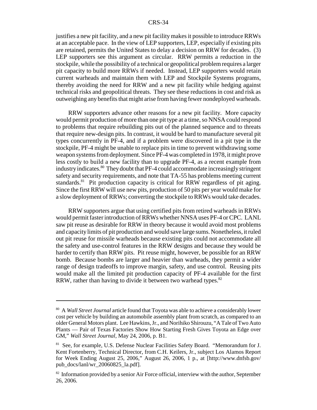justifies a new pit facility, and a new pit facility makes it possible to introduce RRWs at an acceptable pace. In the view of LEP supporters, LEP, especially if existing pits are retained, permits the United States to delay a decision on RRW for decades. (3) LEP supporters see this argument as circular. RRW permits a reduction in the stockpile, while the possibility of a technical or geopolitical problem requires a larger pit capacity to build more RRWs if needed. Instead, LEP supporters would retain current warheads and maintain them with LEP and Stockpile Systems programs, thereby avoiding the need for RRW and a new pit facility while hedging against technical risks and geopolitical threats. They see these reductions in cost and risk as outweighing any benefits that might arise from having fewer nondeployed warheads.

RRW supporters advance other reasons for a new pit facility. More capacity would permit production of more than one pit type at a time, so NNSA could respond to problems that require rebuilding pits out of the planned sequence and to threats that require new-design pits. In contrast, it would be hard to manufacture several pit types concurrently in PF-4, and if a problem were discovered in a pit type in the stockpile, PF-4 might be unable to replace pits in time to prevent withdrawing some weapon systems from deployment. Since PF-4 was completed in 1978, it might prove less costly to build a new facility than to upgrade PF-4, as a recent example from industry indicates.<sup>80</sup> They doubt that PF-4 could accommodate increasingly stringent safety and security requirements, and note that TA-55 has problems meeting current standards.<sup>81</sup> Pit production capacity is critical for RRW regardless of pit aging. Since the first RRW will use new pits, production of 50 pits per year would make for a slow deployment of RRWs; converting the stockpile to RRWs would take decades.

RRW supporters argue that using certified pits from retired warheads in RRWs would permit faster introduction of RRWs whether NNSA uses PF-4 or CPC. LANL saw pit reuse as desirable for RRW in theory because it would avoid most problems and capacity limits of pit production and would save large sums. Nonetheless, it ruled out pit reuse for missile warheads because existing pits could not accommodate all the safety and use-control features in the RRW designs and because they would be harder to certify than RRW pits. Pit reuse might, however, be possible for an RRW bomb. Because bombs are larger and heavier than warheads, they permit a wider range of design tradeoffs to improve margin, safety, and use control. Reusing pits would make all the limited pit production capacity of PF-4 available for the first RRW, rather than having to divide it between two warhead types.<sup>82</sup>

<sup>80</sup> A *Wall Street Journal* article found that Toyota was able to achieve a considerably lower cost per vehicle by building an automobile assembly plant from scratch, as compared to an older General Motors plant. Lee Hawkins, Jr., and Norihiko Shirouzu, "A Tale of Two Auto Plants — Pair of Texas Factories Show How Starting Fresh Gives Toyota an Edge over GM," *Wall Street Journal,* May 24, 2006, p. B1.

<sup>81</sup> See, for example, U.S. Defense Nuclear Facilities Safety Board. "Memorandum for J. Kent Fortenberry, Technical Director, from C.H. Keilers, Jr., subject Los Alamos Report for Week Ending August 25, 2006," August 26, 2006, 1 p., at [http://www.dnfsb.gov/ pub\_docs/lanl/wr\_20060825\_la.pdf].

 $82$  Information provided by a senior Air Force official, interview with the author, September 26, 2006.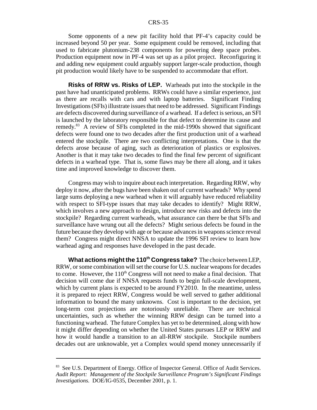Some opponents of a new pit facility hold that PF-4's capacity could be increased beyond 50 per year. Some equipment could be removed, including that used to fabricate plutonium-238 components for powering deep space probes. Production equipment now in PF-4 was set up as a pilot project. Reconfiguring it and adding new equipment could arguably support larger-scale production, though pit production would likely have to be suspended to accommodate that effort.

**Risks of RRW vs. Risks of LEP.** Warheads put into the stockpile in the past have had unanticipated problems. RRWs could have a similar experience, just as there are recalls with cars and with laptop batteries. Significant Finding Investigations (SFIs) illustrate issues that need to be addressed. Significant Findings are defects discovered during surveillance of a warhead. If a defect is serious, an SFI is launched by the laboratory responsible for that defect to determine its cause and remedy.83 A review of SFIs completed in the mid-1990s showed that significant defects were found one to two decades after the first production unit of a warhead entered the stockpile. There are two conflicting interpretations. One is that the defects arose because of aging, such as deterioration of plastics or explosives. Another is that it may take two decades to find the final few percent of significant defects in a warhead type. That is, some flaws may be there all along, and it takes time and improved knowledge to discover them.

Congress may wish to inquire about each interpretation. Regarding RRW, why deploy it now, after the bugs have been shaken out of current warheads? Why spend large sums deploying a new warhead when it will arguably have reduced reliability with respect to SFI-type issues that may take decades to identify? Might RRW, which involves a new approach to design, introduce new risks and defects into the stockpile? Regarding current warheads, what assurance can there be that SFIs and surveillance have wrung out all the defects? Might serious defects be found in the future because they develop with age or because advances in weapons science reveal them? Congress might direct NNSA to update the 1996 SFI review to learn how warhead aging and responses have developed in the past decade.

**What actions might the 110th Congress take?** The choice between LEP, RRW, or some combination will set the course for U.S. nuclear weapons for decades to come. However, the  $110<sup>th</sup>$  Congress will not need to make a final decision. That decision will come due if NNSA requests funds to begin full-scale development, which by current plans is expected to be around FY2010. In the meantime, unless it is prepared to reject RRW, Congress would be well served to gather additional information to bound the many unknowns. Cost is important to the decision, yet long-term cost projections are notoriously unreliable. There are technical uncertainties, such as whether the winning RRW design can be turned into a functioning warhead. The future Complex has yet to be determined, along with how it might differ depending on whether the United States pursues LEP or RRW and how it would handle a transition to an all-RRW stockpile. Stockpile numbers decades out are unknowable, yet a Complex would spend money unnecessarily if

<sup>&</sup>lt;sup>83</sup> See U.S. Department of Energy. Office of Inspector General. Office of Audit Services. *Audit Report: Management of the Stockpile Surveillance Program's Significant Findings Investigations.* DOE/IG-0535, December 2001, p. 1.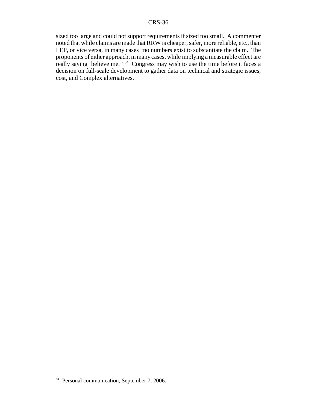sized too large and could not support requirements if sized too small. A commenter noted that while claims are made that RRW is cheaper, safer, more reliable, etc., than LEP, or vice versa, in many cases "no numbers exist to substantiate the claim. The proponents of either approach, in many cases, while implying a measurable effect are really saying 'believe me.'"84 Congress may wish to use the time before it faces a decision on full-scale development to gather data on technical and strategic issues, cost, and Complex alternatives.

<sup>&</sup>lt;sup>84</sup> Personal communication, September 7, 2006.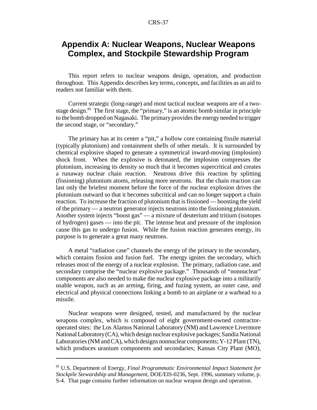# **Appendix A: Nuclear Weapons, Nuclear Weapons Complex, and Stockpile Stewardship Program**

This report refers to nuclear weapons design, operation, and production throughout. This Appendix describes key terms, concepts, and facilities as an aid to readers not familiar with them.

Current strategic (long-range) and most tactical nuclear weapons are of a twostage design.<sup>85</sup> The first stage, the "primary," is an atomic bomb similar in principle to the bomb dropped on Nagasaki. The primary provides the energy needed to trigger the second stage, or "secondary."

The primary has at its center a "pit," a hollow core containing fissile material (typically plutonium) and containment shells of other metals. It is surrounded by chemical explosive shaped to generate a symmetrical inward-moving (implosion) shock front. When the explosive is detonated, the implosion compresses the plutonium, increasing its density so much that it becomes supercritical and creates a runaway nuclear chain reaction. Neutrons drive this reaction by splitting (fissioning) plutonium atoms, releasing more neutrons. But the chain reaction can last only the briefest moment before the force of the nuclear explosion drives the plutonium outward so that it becomes subcritical and can no longer support a chain reaction. To increase the fraction of plutonium that is fissioned — boosting the yield of the primary — a neutron generator injects neutrons into the fissioning plutonium. Another system injects "boost gas" — a mixture of deuterium and tritium (isotopes of hydrogen) gases — into the pit. The intense heat and pressure of the implosion cause this gas to undergo fusion. While the fusion reaction generates energy, its purpose is to generate a great many neutrons.

A metal "radiation case" channels the energy of the primary to the secondary, which contains fission and fusion fuel. The energy ignites the secondary, which releases most of the energy of a nuclear explosion. The primary, radiation case, and secondary comprise the "nuclear explosive package." Thousands of "nonnuclear" components are also needed to make the nuclear explosive package into a militarily usable weapon, such as an arming, firing, and fuzing system, an outer case, and electrical and physical connections linking a bomb to an airplane or a warhead to a missile.

Nuclear weapons were designed, tested, and manufactured by the nuclear weapons complex, which is composed of eight government-owned contractoroperated sites: the Los Alamos National Laboratory (NM) and Lawrence Livermore National Laboratory (CA), which design nuclear explosive packages; Sandia National Laboratories (NM and CA), which designs nonnuclear components; Y-12 Plant (TN), which produces uranium components and secondaries; Kansas City Plant (MO),

<sup>85</sup> U.S. Department of Energy, *Final Programmatic Environmental Impact Statement for Stockpile Stewardship and Management,* DOE/EIS-0236, Sept. 1996, summary volume, p. S-4. That page contains further information on nuclear weapon design and operation.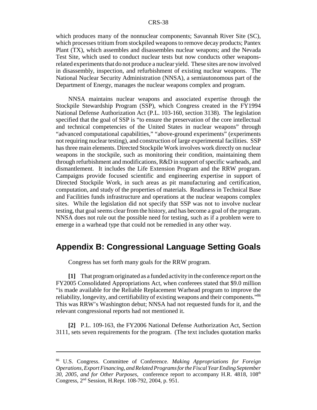which produces many of the nonnuclear components; Savannah River Site (SC), which processes tritium from stockpiled weapons to remove decay products; Pantex Plant (TX), which assembles and disassembles nuclear weapons; and the Nevada Test Site, which used to conduct nuclear tests but now conducts other weaponsrelated experiments that do not produce a nuclear yield. These sites are now involved in disassembly, inspection, and refurbishment of existing nuclear weapons. The National Nuclear Security Administration (NNSA), a semiautonomous part of the Department of Energy, manages the nuclear weapons complex and program.

NNSA maintains nuclear weapons and associated expertise through the Stockpile Stewardship Program (SSP), which Congress created in the FY1994 National Defense Authorization Act (P.L. 103-160, section 3138). The legislation specified that the goal of SSP is "to ensure the preservation of the core intellectual and technical competencies of the United States in nuclear weapons" through "advanced computational capabilities," "above-ground experiments" (experiments not requiring nuclear testing), and construction of large experimental facilities. SSP has three main elements. Directed Stockpile Work involves work directly on nuclear weapons in the stockpile, such as monitoring their condition, maintaining them through refurbishment and modifications, R&D in support of specific warheads, and dismantlement. It includes the Life Extension Program and the RRW program. Campaigns provide focused scientific and engineering expertise in support of Directed Stockpile Work, in such areas as pit manufacturing and certification, computation, and study of the properties of materials. Readiness in Technical Base and Facilities funds infrastructure and operations at the nuclear weapons complex sites. While the legislation did not specify that SSP was not to involve nuclear testing, that goal seems clear from the history, and has become a goal of the program. NNSA does not rule out the possible need for testing, such as if a problem were to emerge in a warhead type that could not be remedied in any other way.

# **Appendix B: Congressional Language Setting Goals**

Congress has set forth many goals for the RRW program.

**[1]** That program originated as a funded activity in the conference report on the FY2005 Consolidated Appropriations Act, when conferees stated that \$9.0 million "is made available for the Reliable Replacement Warhead program to improve the reliability, longevity, and certifiability of existing weapons and their components."86 This was RRW's Washington debut; NNSA had not requested funds for it, and the relevant congressional reports had not mentioned it.

**[2]** P.L. 109-163, the FY2006 National Defense Authorization Act, Section 3111, sets seven requirements for the program. (The text includes quotation marks

<sup>86</sup> U.S. Congress. Committee of Conference. *Making Appropriations for Foreign Operations, Export Financing, and Related Programs for the Fiscal Year Ending September 30, 2005, and for Other Purposes, conference report to accompany H.R. 4818, 108<sup>th</sup>* Congress, 2nd Session, H.Rept. 108-792, 2004, p. 951.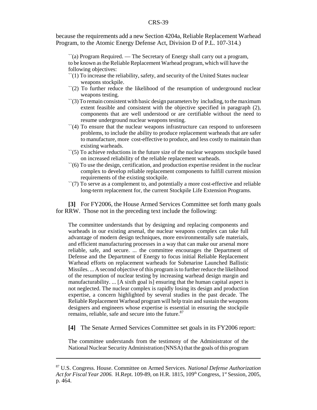because the requirements add a new Section 4204a, Reliable Replacement Warhead Program, to the Atomic Energy Defense Act, Division D of P.L. 107-314.)

``(a) Program Required. — The Secretary of Energy shall carry out a program, to be known as the Reliable Replacement Warhead program, which will have the following objectives:

- ``(1) To increase the reliability, safety, and security of the United States nuclear weapons stockpile.
- $\Gamma(2)$  To further reduce the likelihood of the resumption of underground nuclear weapons testing.
- ``(3) To remain consistent with basic design parameters by including, to the maximum extent feasible and consistent with the objective specified in paragraph (2), components that are well understood or are certifiable without the need to resume underground nuclear weapons testing.
- $\lq(4)$  To ensure that the nuclear weapons infrastructure can respond to unforeseen problems, to include the ability to produce replacement warheads that are safer to manufacture, more cost-effective to produce, and less costly to maintain than existing warheads.
- $\Gamma$ (5) To achieve reductions in the future size of the nuclear weapons stockpile based on increased reliability of the reliable replacement warheads.
- ``(6) To use the design, certification, and production expertise resident in the nuclear complex to develop reliable replacement components to fulfill current mission requirements of the existing stockpile.
- $\lq(7)$  To serve as a complement to, and potentially a more cost-effective and reliable long-term replacement for, the current Stockpile Life Extension Programs.

**[3]** For FY2006, the House Armed Services Committee set forth many goals for RRW. Those not in the preceding text include the following:

The committee understands that by designing and replacing components and warheads in our existing arsenal, the nuclear weapons complex can take full advantage of modern design techniques, more environmentally safe materials, and efficient manufacturing processes in a way that can make our arsenal more reliable, safe, and secure. ... the committee encourages the Department of Defense and the Department of Energy to focus initial Reliable Replacement Warhead efforts on replacement warheads for Submarine Launched Ballistic Missiles. ... A second objective of this program is to further reduce the likelihood of the resumption of nuclear testing by increasing warhead design margin and manufacturability. ... [A sixth goal is] ensuring that the human capital aspect is not neglected. The nuclear complex is rapidly losing its design and production expertise, a concern highlighted by several studies in the past decade. The Reliable Replacement Warhead program will help train and sustain the weapons designers and engineers whose expertise is essential in ensuring the stockpile remains, reliable, safe and secure into the future.<sup>87</sup>

**[4]** The Senate Armed Services Committee set goals in its FY2006 report:

The committee understands from the testimony of the Administrator of the National Nuclear Security Administration (NNSA) that the goals of this program

<sup>87</sup> U.S. Congress. House. Committee on Armed Services. *National Defense Authorization* Act for Fiscal Year 2006. H.Rept. 109-89, on H.R. 1815, 109<sup>th</sup> Congress, 1<sup>st</sup> Session, 2005, p. 464.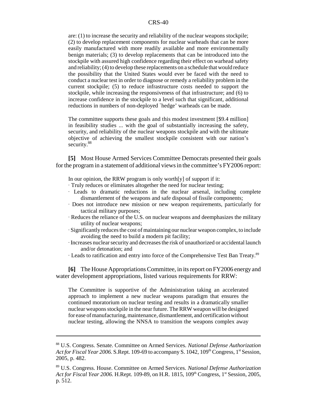are: (1) to increase the security and reliability of the nuclear weapons stockpile; (2) to develop replacement components for nuclear warheads that can be more easily manufactured with more readily available and more environmentally benign materials; (3) to develop replacements that can be introduced into the stockpile with assured high confidence regarding their effect on warhead safety and reliability; (4) to develop these replacements on a schedule that would reduce the possibility that the United States would ever be faced with the need to conduct a nuclear test in order to diagnose or remedy a reliability problem in the current stockpile; (5) to reduce infrastructure costs needed to support the stockpile, while increasing the responsiveness of that infrastructure; and (6) to increase confidence in the stockpile to a level such that significant, additional reductions in numbers of non-deployed `hedge' warheads can be made.

The committee supports these goals and this modest investment [\$9.4 million] in feasibility studies ... with the goal of substantially increasing the safety, security, and reliability of the nuclear weapons stockpile and with the ultimate objective of achieving the smallest stockpile consistent with our nation's security.<sup>88</sup>

**[5]** Most House Armed Services Committee Democrats presented their goals for the program in a statement of additional views in the committee's FY2006 report:

In our opinion, the RRW program is only worth $[y]$  of support if it:

- $\cdot$  Truly reduces or eliminates altogether the need for nuclear testing;
- A Leads to dramatic reductions in the nuclear arsenal, including complete dismantlement of the weapons and safe disposal of fissile components;
- A Does not introduce new mission or new weapon requirements, particularly for tactical military purposes;
- $\cdot$  Reduces the reliance of the U.S. on nuclear weapons and deemphasizes the military utility of nuclear weapons;
- $\cdot$  Significantly reduces the cost of maintaining our nuclear weapon complex, to include avoiding the need to build a modern pit facility;
- A Increases nuclear security and decreases the risk of unauthorized or accidental launch and/or detonation; and
- · Leads to ratification and entry into force of the Comprehensive Test Ban Treaty.<sup>89</sup>

**[6]** The House Appropriations Committee, in its report on FY2006 energy and water development appropriations, listed various requirements for RRW:

The Committee is supportive of the Administration taking an accelerated approach to implement a new nuclear weapons paradigm that ensures the continued moratorium on nuclear testing and results in a dramatically smaller nuclear weapons stockpile in the near future. The RRW weapon will be designed for ease of manufacturing, maintenance, dismantlement, and certification without nuclear testing, allowing the NNSA to transition the weapons complex away

<sup>88</sup> U.S. Congress. Senate. Committee on Armed Services. *National Defense Authorization Act for Fiscal Year 2006.* S.Rept. 109-69 to accompany S. 1042, 109<sup>th</sup> Congress, 1<sup>st</sup> Session, 2005, p. 482.

<sup>89</sup> U.S. Congress. House. Committee on Armed Services. *National Defense Authorization* Act for Fiscal Year 2006. H.Rept. 109-89, on H.R. 1815, 109<sup>th</sup> Congress, 1<sup>st</sup> Session, 2005, p. 512.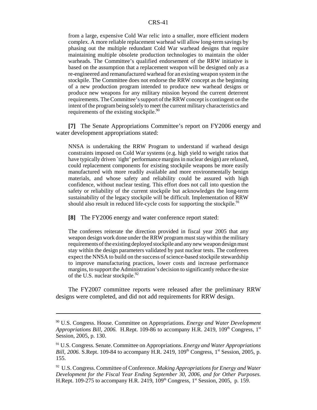from a large, expensive Cold War relic into a smaller, more efficient modern complex. A more reliable replacement warhead will allow long-term savings by phasing out the multiple redundant Cold War warhead designs that require maintaining multiple obsolete production technologies to maintain the older warheads. The Committee's qualified endorsement of the RRW initiative is based on the assumption that a replacement weapon will be designed only as a re-engineered and remanufactured warhead for an existing weapon system in the stockpile. The Committee does not endorse the RRW concept as the beginning of a new production program intended to produce new warhead designs or produce new weapons for any military mission beyond the current deterrent requirements. The Committee's support of the RRW concept is contingent on the intent of the program being solely to meet the current military characteristics and requirements of the existing stockpile.<sup>90</sup>

**[7]** The Senate Appropriations Committee's report on FY2006 energy and water development appropriations stated:

NNSA is undertaking the RRW Program to understand if warhead design constraints imposed on Cold War systems (e.g. high yield to weight ratios that have typically driven `tight' performance margins in nuclear design) are relaxed, could replacement components for existing stockpile weapons be more easily manufactured with more readily available and more environmentally benign materials, and whose safety and reliability could be assured with high confidence, without nuclear testing. This effort does not call into question the safety or reliability of the current stockpile but acknowledges the long-term sustainability of the legacy stockpile will be difficult. Implementation of RRW should also result in reduced life-cycle costs for supporting the stockpile.<sup>91</sup>

**[8]** The FY2006 energy and water conference report stated:

The conferees reiterate the direction provided in fiscal year 2005 that any weapon design work done under the RRW program must stay within the military requirements of the existing deployed stockpile and any new weapon design must stay within the design parameters validated by past nuclear tests. The conferees expect the NNSA to build on the success of science-based stockpile stewardship to improve manufacturing practices, lower costs and increase performance margins, to support the Administration's decision to significantly reduce the size of the U.S. nuclear stockpile. $92$ 

The FY2007 committee reports were released after the preliminary RRW designs were completed, and did not add requirements for RRW design.

<sup>90</sup> U.S. Congress. House. Committee on Appropriations. *Energy and Water Development Appropriations Bill, 2006.* H.Rept. 109-86 to accompany H.R. 2419,  $109<sup>th</sup>$  Congress,  $1<sup>st</sup>$ Session, 2005, p. 130.

<sup>91</sup> U.S. Congress. Senate. Committee on Appropriations. *Energy and Water Appropriations Bill, 2006.* S.Rept. 109-84 to accompany H.R. 2419, 109<sup>th</sup> Congress, 1<sup>st</sup> Session, 2005, p. 155.

<sup>92</sup> U.S. Congress. Committee of Conference. *Making Appropriations for Energy and Water Development for the Fiscal Year Ending September 30, 2006, and for Other Purposes.* H.Rept. 109-275 to accompany H.R. 2419,  $109<sup>th</sup>$  Congress,  $1<sup>st</sup>$  Session, 2005, p. 159.